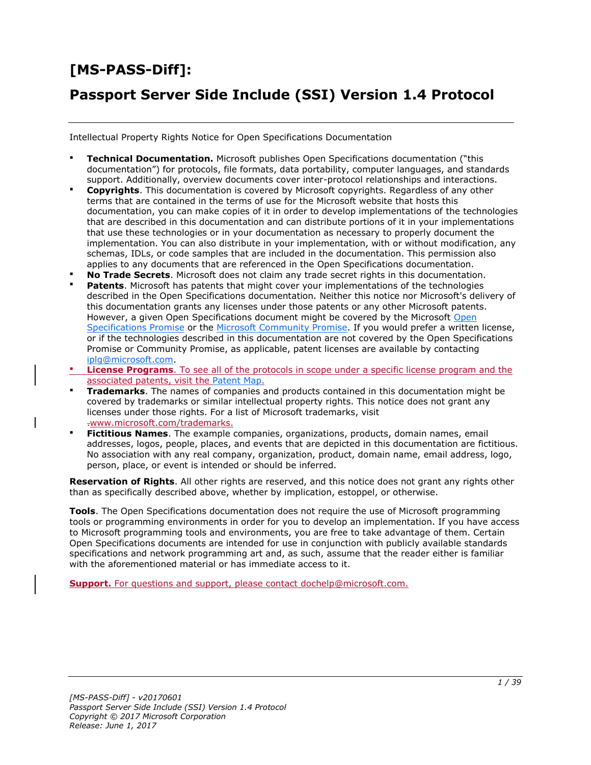# **[MS-PASS-Diff]:**

## **Passport Server Side Include (SSI) Version 1.4 Protocol**

Intellectual Property Rights Notice for Open Specifications Documentation

- **Technical Documentation.** Microsoft publishes Open Specifications documentation ("this documentation") for protocols, file formats, data portability, computer languages, and standards support. Additionally, overview documents cover inter-protocol relationships and interactions.
- **Copyrights**. This documentation is covered by Microsoft copyrights. Regardless of any other terms that are contained in the terms of use for the Microsoft website that hosts this documentation, you can make copies of it in order to develop implementations of the technologies that are described in this documentation and can distribute portions of it in your implementations that use these technologies or in your documentation as necessary to properly document the implementation. You can also distribute in your implementation, with or without modification, any schemas, IDLs, or code samples that are included in the documentation. This permission also applies to any documents that are referenced in the Open Specifications documentation.
- **No Trade Secrets**. Microsoft does not claim any trade secret rights in this documentation.
- **Patents**. Microsoft has patents that might cover your implementations of the technologies described in the Open Specifications documentation. Neither this notice nor Microsoft's delivery of this documentation grants any licenses under those patents or any other Microsoft patents. However, a given [Open](http://go.microsoft.com/fwlink/?LinkId=214445) Specifications document might be covered by the Microsoft Open [Specifications Promise](http://go.microsoft.com/fwlink/?LinkId=214445) or the [Microsoft Community Promise.](http://go.microsoft.com/fwlink/?LinkId=214448) If you would prefer a written license, or if the technologies described in this documentation are not covered by the Open Specifications Promise or Community Promise, as applicable, patent licenses are available by contacting [iplg@microsoft.com.](mailto:iplg@microsoft.com)
- **License Programs**. To see all of the protocols in scope under a specific license program and the associated patents, visit the [Patent Map.](https://msdn.microsoft.com/en-us/openspecifications/dn750984)
- **Trademarks**. The names of companies and products contained in this documentation might be covered by trademarks or similar intellectual property rights. This notice does not grant any licenses under those rights. For a list of Microsoft trademarks, visit .www.microsoft.com/trademarks.
- **Fictitious Names**. The example companies, organizations, products, domain names, email addresses, logos, people, places, and events that are depicted in this documentation are fictitious. No association with any real company, organization, product, domain name, email address, logo, person, place, or event is intended or should be inferred.

**Reservation of Rights**. All other rights are reserved, and this notice does not grant any rights other than as specifically described above, whether by implication, estoppel, or otherwise.

**Tools**. The Open Specifications documentation does not require the use of Microsoft programming tools or programming environments in order for you to develop an implementation. If you have access to Microsoft programming tools and environments, you are free to take advantage of them. Certain Open Specifications documents are intended for use in conjunction with publicly available standards specifications and network programming art and, as such, assume that the reader either is familiar with the aforementioned material or has immediate access to it.

**Support.** For questions and support, please contact dochelp@microsoft.com.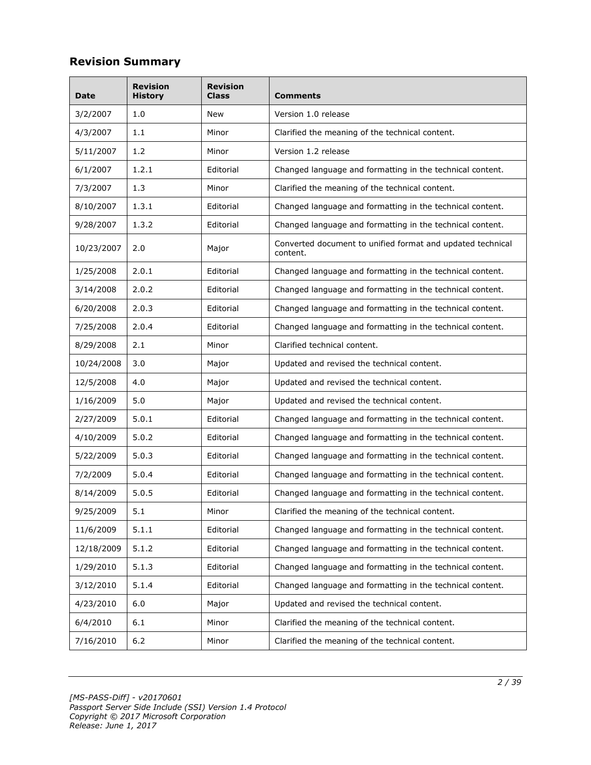## **Revision Summary**

| Date       | <b>Revision</b><br><b>History</b> | <b>Revision</b><br>Class | Comments                                                               |
|------------|-----------------------------------|--------------------------|------------------------------------------------------------------------|
| 3/2/2007   | 1.0                               | New                      | Version 1.0 release                                                    |
| 4/3/2007   | 1.1                               | Minor                    | Clarified the meaning of the technical content.                        |
| 5/11/2007  | 1.2                               | Minor                    | Version 1.2 release                                                    |
| 6/1/2007   | 1.2.1                             | Editorial                | Changed language and formatting in the technical content.              |
| 7/3/2007   | 1.3                               | Minor                    | Clarified the meaning of the technical content.                        |
| 8/10/2007  | 1.3.1                             | Editorial                | Changed language and formatting in the technical content.              |
| 9/28/2007  | 1.3.2                             | Editorial                | Changed language and formatting in the technical content.              |
| 10/23/2007 | 2.0                               | Major                    | Converted document to unified format and updated technical<br>content. |
| 1/25/2008  | 2.0.1                             | Editorial                | Changed language and formatting in the technical content.              |
| 3/14/2008  | 2.0.2                             | Editorial                | Changed language and formatting in the technical content.              |
| 6/20/2008  | 2.0.3                             | Editorial                | Changed language and formatting in the technical content.              |
| 7/25/2008  | 2.0.4                             | Editorial                | Changed language and formatting in the technical content.              |
| 8/29/2008  | 2.1                               | Minor                    | Clarified technical content.                                           |
| 10/24/2008 | 3.0                               | Major                    | Updated and revised the technical content.                             |
| 12/5/2008  | 4.0                               | Major                    | Updated and revised the technical content.                             |
| 1/16/2009  | 5.0                               | Major                    | Updated and revised the technical content.                             |
| 2/27/2009  | 5.0.1                             | Editorial                | Changed language and formatting in the technical content.              |
| 4/10/2009  | 5.0.2                             | Editorial                | Changed language and formatting in the technical content.              |
| 5/22/2009  | 5.0.3                             | Editorial                | Changed language and formatting in the technical content.              |
| 7/2/2009   | 5.0.4                             | Editorial                | Changed language and formatting in the technical content.              |
| 8/14/2009  | 5.0.5                             | Editorial                | Changed language and formatting in the technical content.              |
| 9/25/2009  | 5.1                               | Minor                    | Clarified the meaning of the technical content.                        |
| 11/6/2009  | 5.1.1                             | Editorial                | Changed language and formatting in the technical content.              |
| 12/18/2009 | 5.1.2                             | Editorial                | Changed language and formatting in the technical content.              |
| 1/29/2010  | 5.1.3                             | Editorial                | Changed language and formatting in the technical content.              |
| 3/12/2010  | 5.1.4                             | Editorial                | Changed language and formatting in the technical content.              |
| 4/23/2010  | 6.0                               | Major                    | Updated and revised the technical content.                             |
| 6/4/2010   | 6.1                               | Minor                    | Clarified the meaning of the technical content.                        |
| 7/16/2010  | $6.2$                             | Minor                    | Clarified the meaning of the technical content.                        |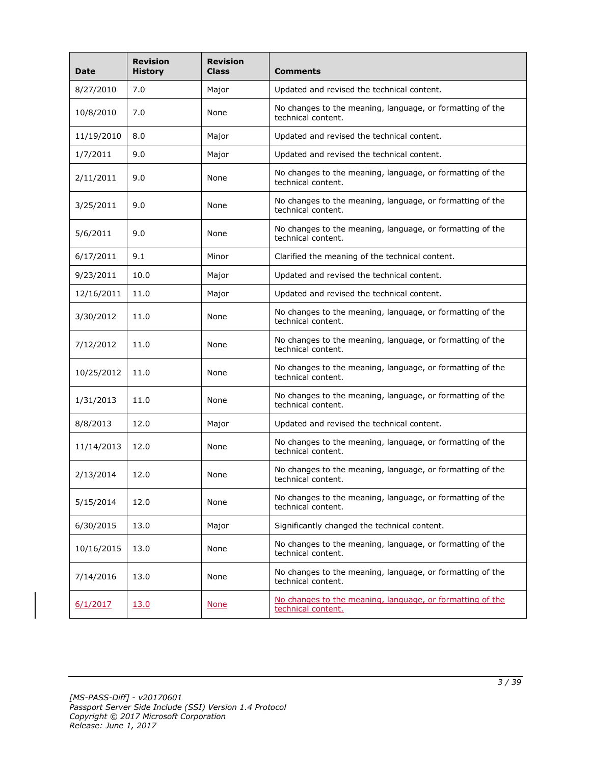| <b>Date</b> | <b>Revision</b><br><b>History</b> | <b>Revision</b><br><b>Class</b> | <b>Comments</b>                                                                 |
|-------------|-----------------------------------|---------------------------------|---------------------------------------------------------------------------------|
| 8/27/2010   | 7.0                               | Major                           | Updated and revised the technical content.                                      |
| 10/8/2010   | 7.0                               | None                            | No changes to the meaning, language, or formatting of the<br>technical content. |
| 11/19/2010  | 8.0                               | Major                           | Updated and revised the technical content.                                      |
| 1/7/2011    | 9.0                               | Major                           | Updated and revised the technical content.                                      |
| 2/11/2011   | 9.0                               | None                            | No changes to the meaning, language, or formatting of the<br>technical content. |
| 3/25/2011   | 9.0                               | None                            | No changes to the meaning, language, or formatting of the<br>technical content. |
| 5/6/2011    | 9.0                               | None                            | No changes to the meaning, language, or formatting of the<br>technical content. |
| 6/17/2011   | 9.1                               | Minor                           | Clarified the meaning of the technical content.                                 |
| 9/23/2011   | 10.0                              | Major                           | Updated and revised the technical content.                                      |
| 12/16/2011  | 11.0                              | Major                           | Updated and revised the technical content.                                      |
| 3/30/2012   | 11.0                              | None                            | No changes to the meaning, language, or formatting of the<br>technical content. |
| 7/12/2012   | 11.0                              | None                            | No changes to the meaning, language, or formatting of the<br>technical content. |
| 10/25/2012  | 11.0                              | None                            | No changes to the meaning, language, or formatting of the<br>technical content. |
| 1/31/2013   | 11.0                              | None                            | No changes to the meaning, language, or formatting of the<br>technical content. |
| 8/8/2013    | 12.0                              | Major                           | Updated and revised the technical content.                                      |
| 11/14/2013  | 12.0                              | None                            | No changes to the meaning, language, or formatting of the<br>technical content. |
| 2/13/2014   | 12.0                              | None                            | No changes to the meaning, language, or formatting of the<br>technical content. |
| 5/15/2014   | 12.0                              | None                            | No changes to the meaning, language, or formatting of the<br>technical content. |
| 6/30/2015   | 13.0                              | Major                           | Significantly changed the technical content.                                    |
| 10/16/2015  | 13.0                              | None                            | No changes to the meaning, language, or formatting of the<br>technical content. |
| 7/14/2016   | 13.0                              | None                            | No changes to the meaning, language, or formatting of the<br>technical content. |
| 6/1/2017    | 13.0                              | <b>None</b>                     | No changes to the meaning, language, or formatting of the<br>technical content. |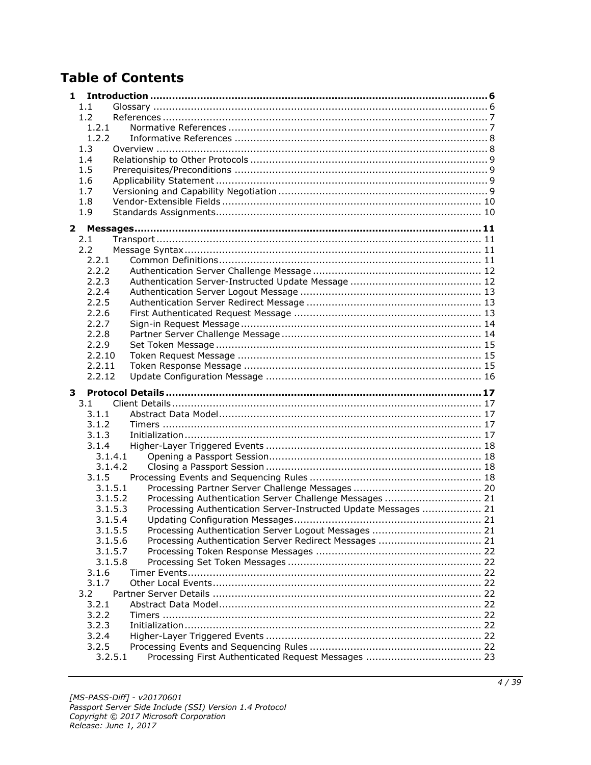## **Table of Contents**

| 1                |                                                                 |  |
|------------------|-----------------------------------------------------------------|--|
| 1.1              |                                                                 |  |
| 1.2              |                                                                 |  |
| 1.2.1            |                                                                 |  |
| 1.2.2            |                                                                 |  |
| 1.3              |                                                                 |  |
| 1.4              |                                                                 |  |
| 1.5              |                                                                 |  |
| 1.6              |                                                                 |  |
| 1.7              |                                                                 |  |
| 1.8              |                                                                 |  |
| 1.9              |                                                                 |  |
| 2                |                                                                 |  |
| 2.1              |                                                                 |  |
| 2.2              |                                                                 |  |
| 2.2.1            |                                                                 |  |
| 2.2.2            |                                                                 |  |
| 2.2.3            |                                                                 |  |
| 2.2.4            |                                                                 |  |
| 2.2.5            |                                                                 |  |
| 2.2.6            |                                                                 |  |
| 2.2.7            |                                                                 |  |
| 2.2.8            |                                                                 |  |
| 2.2.9            |                                                                 |  |
| 2.2.10           |                                                                 |  |
| 2.2.11           |                                                                 |  |
| 2.2.12           |                                                                 |  |
|                  |                                                                 |  |
| 3                |                                                                 |  |
| 3.1              |                                                                 |  |
| 3.1.1            |                                                                 |  |
| 3.1.2            |                                                                 |  |
| 3.1.3            |                                                                 |  |
| 3.1.4            |                                                                 |  |
| 3.1.4.1          |                                                                 |  |
| 3.1.4.2          |                                                                 |  |
| 3.1.5            |                                                                 |  |
| 3.1.5.1          |                                                                 |  |
| 3.1.5.2          | Processing Authentication Server Challenge Messages  21         |  |
| 3.1.5.3          | Processing Authentication Server-Instructed Update Messages  21 |  |
| 3.1.5.4          |                                                                 |  |
| 3.1.5.5          |                                                                 |  |
| 3.1.5.6          | Processing Authentication Server Redirect Messages  21          |  |
| 3.1.5.7          |                                                                 |  |
| 3.1.5.8          |                                                                 |  |
| 3.1.6            |                                                                 |  |
| 3.1.7            |                                                                 |  |
| 3.2              |                                                                 |  |
| 3.2.1            |                                                                 |  |
| 3.2.2            |                                                                 |  |
| 3.2.3            |                                                                 |  |
| 3.2.4            |                                                                 |  |
| 3.2.5<br>3.2.5.1 |                                                                 |  |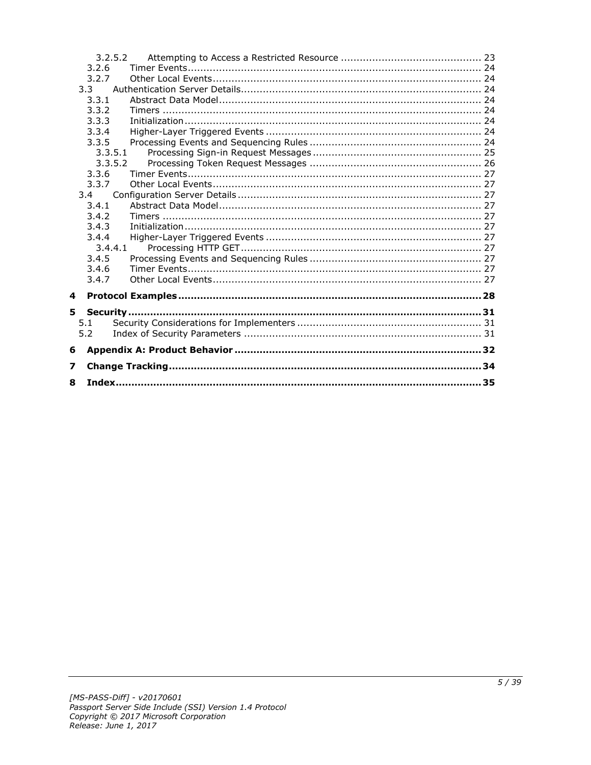|   |                | 3.2.5.2 |  |  |  |  |
|---|----------------|---------|--|--|--|--|
|   | 3.2.6          |         |  |  |  |  |
|   | 3.2.7          |         |  |  |  |  |
|   | 3.3            |         |  |  |  |  |
|   | 3.3.1          |         |  |  |  |  |
|   | 3.3.2          |         |  |  |  |  |
|   | 3.3.3          |         |  |  |  |  |
|   | 3.3.4          |         |  |  |  |  |
|   | 3.3.5          |         |  |  |  |  |
|   | 3.3.5.1        |         |  |  |  |  |
|   | 3.3.5.2        |         |  |  |  |  |
|   | 3.3.6          |         |  |  |  |  |
|   | 3.3.7          |         |  |  |  |  |
|   | 3.4            |         |  |  |  |  |
|   | 3.4.1          |         |  |  |  |  |
|   | 3.4.2          |         |  |  |  |  |
|   | 3.4.3          |         |  |  |  |  |
|   | 3.4.4          |         |  |  |  |  |
|   | 3.4.4.1        |         |  |  |  |  |
|   | 3.4.5<br>3.4.6 |         |  |  |  |  |
|   | 3.4.7          |         |  |  |  |  |
|   |                |         |  |  |  |  |
| 4 |                |         |  |  |  |  |
| 5 |                |         |  |  |  |  |
|   | 5.1            |         |  |  |  |  |
|   | 5.2            |         |  |  |  |  |
|   |                |         |  |  |  |  |
| 6 |                |         |  |  |  |  |
| 7 |                |         |  |  |  |  |
| 8 |                |         |  |  |  |  |
|   |                |         |  |  |  |  |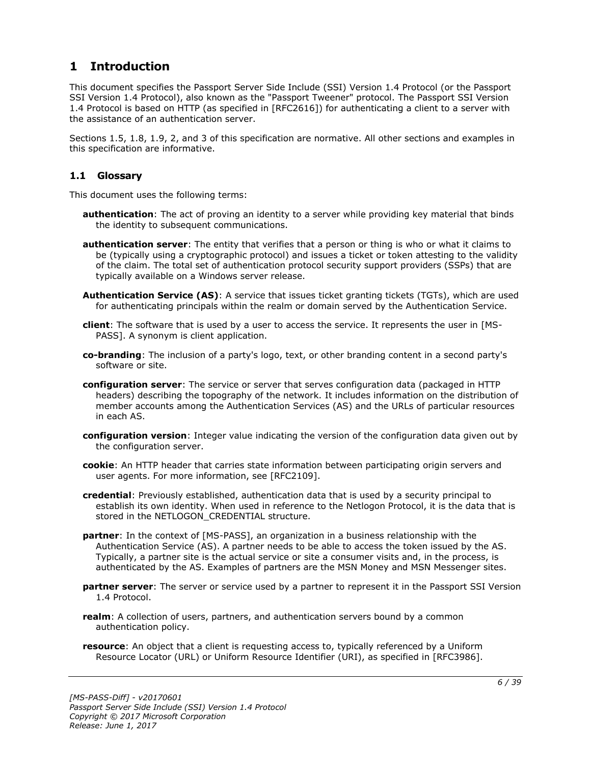## <span id="page-5-0"></span>**1 Introduction**

This document specifies the Passport Server Side Include (SSI) Version 1.4 Protocol (or the Passport SSI Version 1.4 Protocol), also known as the "Passport Tweener" protocol. The Passport SSI Version 1.4 Protocol is based on HTTP (as specified in [RFC2616]) for authenticating a client to a server with the assistance of an authentication server.

Sections 1.5, 1.8, 1.9, 2, and 3 of this specification are normative. All other sections and examples in this specification are informative.

## <span id="page-5-1"></span>**1.1 Glossary**

This document uses the following terms:

- **authentication**: The act of proving an identity to a server while providing key material that binds the identity to subsequent communications.
- **authentication server**: The entity that verifies that a person or thing is who or what it claims to be (typically using a cryptographic protocol) and issues a ticket or token attesting to the validity of the claim. The total set of authentication protocol security support providers (SSPs) that are typically available on a Windows server release.
- **Authentication Service (AS)**: A service that issues ticket granting tickets (TGTs), which are used for authenticating principals within the realm or domain served by the Authentication Service.
- **client**: The software that is used by a user to access the service. It represents the user in [MS-PASS]. A synonym is client application.
- **co-branding**: The inclusion of a party's logo, text, or other branding content in a second party's software or site.
- **configuration server**: The service or server that serves configuration data (packaged in HTTP headers) describing the topography of the network. It includes information on the distribution of member accounts among the Authentication Services (AS) and the URLs of particular resources in each AS.
- **configuration version**: Integer value indicating the version of the configuration data given out by the configuration server.
- **cookie**: An HTTP header that carries state information between participating origin servers and user agents. For more information, see [RFC2109].
- **credential**: Previously established, authentication data that is used by a security principal to establish its own identity. When used in reference to the Netlogon Protocol, it is the data that is stored in the NETLOGON CREDENTIAL structure.
- **partner**: In the context of [MS-PASS], an organization in a business relationship with the Authentication Service (AS). A partner needs to be able to access the token issued by the AS. Typically, a partner site is the actual service or site a consumer visits and, in the process, is authenticated by the AS. Examples of partners are the MSN Money and MSN Messenger sites.
- **partner server**: The server or service used by a partner to represent it in the Passport SSI Version 1.4 Protocol.
- **realm**: A collection of users, partners, and authentication servers bound by a common authentication policy.
- **resource**: An object that a client is requesting access to, typically referenced by a Uniform Resource Locator (URL) or Uniform Resource Identifier (URI), as specified in [RFC3986].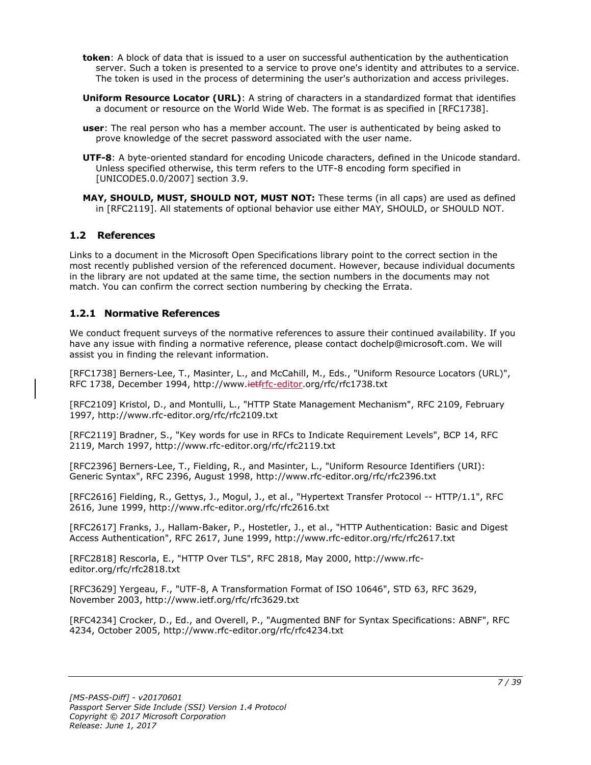- **token**: A block of data that is issued to a user on successful authentication by the authentication server. Such a token is presented to a service to prove one's identity and attributes to a service. The token is used in the process of determining the user's authorization and access privileges.
- **Uniform Resource Locator (URL)**: A string of characters in a standardized format that identifies a document or resource on the World Wide Web. The format is as specified in [RFC1738].
- **user**: The real person who has a member account. The user is authenticated by being asked to prove knowledge of the secret password associated with the user name.
- **UTF-8**: A byte-oriented standard for encoding Unicode characters, defined in the Unicode standard. Unless specified otherwise, this term refers to the UTF-8 encoding form specified in [UNICODE5.0.0/2007] section 3.9.
- **MAY, SHOULD, MUST, SHOULD NOT, MUST NOT:** These terms (in all caps) are used as defined in [RFC2119]. All statements of optional behavior use either MAY, SHOULD, or SHOULD NOT.

### <span id="page-6-0"></span>**1.2 References**

Links to a document in the Microsoft Open Specifications library point to the correct section in the most recently published version of the referenced document. However, because individual documents in the library are not updated at the same time, the section numbers in the documents may not match. You can confirm the correct section numbering by checking the Errata.

## <span id="page-6-1"></span>**1.2.1 Normative References**

We conduct frequent surveys of the normative references to assure their continued availability. If you have any issue with finding a normative reference, please contact dochelp@microsoft.com. We will assist you in finding the relevant information.

[RFC1738] Berners-Lee, T., Masinter, L., and McCahill, M., Eds., "Uniform Resource Locators (URL)", RFC 1738, December 1994, http://www.<del>ietfrfc-editor</del>.org/rfc/rfc1738.txt

[RFC2109] Kristol, D., and Montulli, L., "HTTP State Management Mechanism", RFC 2109, February 1997, http://www.rfc-editor.org/rfc/rfc2109.txt

[RFC2119] Bradner, S., "Key words for use in RFCs to Indicate Requirement Levels", BCP 14, RFC 2119, March 1997, http://www.rfc-editor.org/rfc/rfc2119.txt

[RFC2396] Berners-Lee, T., Fielding, R., and Masinter, L., "Uniform Resource Identifiers (URI): Generic Syntax", RFC 2396, August 1998, http://www.rfc-editor.org/rfc/rfc2396.txt

[RFC2616] Fielding, R., Gettys, J., Mogul, J., et al., "Hypertext Transfer Protocol -- HTTP/1.1", RFC 2616, June 1999, http://www.rfc-editor.org/rfc/rfc2616.txt

[RFC2617] Franks, J., Hallam-Baker, P., Hostetler, J., et al., "HTTP Authentication: Basic and Digest Access Authentication", RFC 2617, June 1999, http://www.rfc-editor.org/rfc/rfc2617.txt

[RFC2818] Rescorla, E., "HTTP Over TLS", RFC 2818, May 2000, http://www.rfceditor.org/rfc/rfc2818.txt

[RFC3629] Yergeau, F., "UTF-8, A Transformation Format of ISO 10646", STD 63, RFC 3629, November 2003, http://www.ietf.org/rfc/rfc3629.txt

[RFC4234] Crocker, D., Ed., and Overell, P., "Augmented BNF for Syntax Specifications: ABNF", RFC 4234, October 2005, http://www.rfc-editor.org/rfc/rfc4234.txt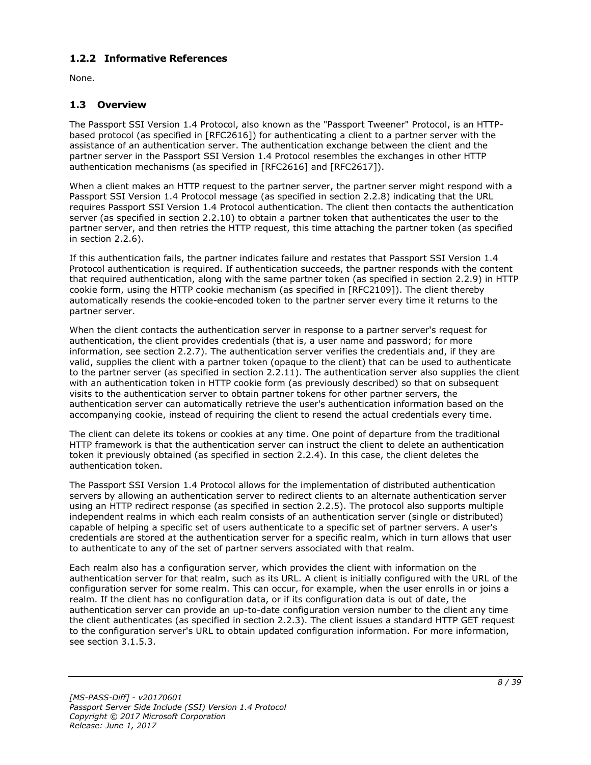## <span id="page-7-0"></span>**1.2.2 Informative References**

None.

## <span id="page-7-1"></span>**1.3 Overview**

The Passport SSI Version 1.4 Protocol, also known as the "Passport Tweener" Protocol, is an HTTPbased protocol (as specified in [RFC2616]) for authenticating a client to a partner server with the assistance of an authentication server. The authentication exchange between the client and the partner server in the Passport SSI Version 1.4 Protocol resembles the exchanges in other HTTP authentication mechanisms (as specified in [RFC2616] and [RFC2617]).

When a client makes an HTTP request to the partner server, the partner server might respond with a Passport SSI Version 1.4 Protocol message (as specified in section 2.2.8) indicating that the URL requires Passport SSI Version 1.4 Protocol authentication. The client then contacts the authentication server (as specified in section 2.2.10) to obtain a partner token that authenticates the user to the partner server, and then retries the HTTP request, this time attaching the partner token (as specified in section 2.2.6).

If this authentication fails, the partner indicates failure and restates that Passport SSI Version 1.4 Protocol authentication is required. If authentication succeeds, the partner responds with the content that required authentication, along with the same partner token (as specified in section 2.2.9) in HTTP cookie form, using the HTTP cookie mechanism (as specified in [RFC2109]). The client thereby automatically resends the cookie-encoded token to the partner server every time it returns to the partner server.

When the client contacts the authentication server in response to a partner server's request for authentication, the client provides credentials (that is, a user name and password; for more information, see section 2.2.7). The authentication server verifies the credentials and, if they are valid, supplies the client with a partner token (opaque to the client) that can be used to authenticate to the partner server (as specified in section 2.2.11). The authentication server also supplies the client with an authentication token in HTTP cookie form (as previously described) so that on subsequent visits to the authentication server to obtain partner tokens for other partner servers, the authentication server can automatically retrieve the user's authentication information based on the accompanying cookie, instead of requiring the client to resend the actual credentials every time.

The client can delete its tokens or cookies at any time. One point of departure from the traditional HTTP framework is that the authentication server can instruct the client to delete an authentication token it previously obtained (as specified in section 2.2.4). In this case, the client deletes the authentication token.

The Passport SSI Version 1.4 Protocol allows for the implementation of distributed authentication servers by allowing an authentication server to redirect clients to an alternate authentication server using an HTTP redirect response (as specified in section 2.2.5). The protocol also supports multiple independent realms in which each realm consists of an authentication server (single or distributed) capable of helping a specific set of users authenticate to a specific set of partner servers. A user's credentials are stored at the authentication server for a specific realm, which in turn allows that user to authenticate to any of the set of partner servers associated with that realm.

Each realm also has a configuration server, which provides the client with information on the authentication server for that realm, such as its URL. A client is initially configured with the URL of the configuration server for some realm. This can occur, for example, when the user enrolls in or joins a realm. If the client has no configuration data, or if its configuration data is out of date, the authentication server can provide an up-to-date configuration version number to the client any time the client authenticates (as specified in section 2.2.3). The client issues a standard HTTP GET request to the configuration server's URL to obtain updated configuration information. For more information, see section 3.1.5.3.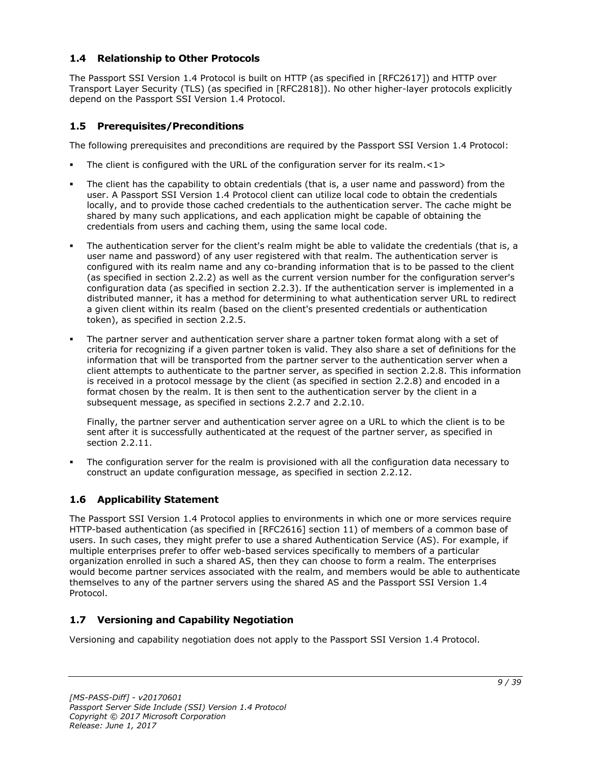## <span id="page-8-0"></span>**1.4 Relationship to Other Protocols**

The Passport SSI Version 1.4 Protocol is built on HTTP (as specified in [RFC2617]) and HTTP over Transport Layer Security (TLS) (as specified in [RFC2818]). No other higher-layer protocols explicitly depend on the Passport SSI Version 1.4 Protocol.

## <span id="page-8-1"></span>**1.5 Prerequisites/Preconditions**

The following prerequisites and preconditions are required by the Passport SSI Version 1.4 Protocol:

- The client is configured with the URL of the configuration server for its realm. $\langle 1 \rangle$
- The client has the capability to obtain credentials (that is, a user name and password) from the user. A Passport SSI Version 1.4 Protocol client can utilize local code to obtain the credentials locally, and to provide those cached credentials to the authentication server. The cache might be shared by many such applications, and each application might be capable of obtaining the credentials from users and caching them, using the same local code.
- The authentication server for the client's realm might be able to validate the credentials (that is, a user name and password) of any user registered with that realm. The authentication server is configured with its realm name and any co-branding information that is to be passed to the client (as specified in section 2.2.2) as well as the current version number for the configuration server's configuration data (as specified in section 2.2.3). If the authentication server is implemented in a distributed manner, it has a method for determining to what authentication server URL to redirect a given client within its realm (based on the client's presented credentials or authentication token), as specified in section 2.2.5.
- The partner server and authentication server share a partner token format along with a set of criteria for recognizing if a given partner token is valid. They also share a set of definitions for the information that will be transported from the partner server to the authentication server when a client attempts to authenticate to the partner server, as specified in section 2.2.8. This information is received in a protocol message by the client (as specified in section 2.2.8) and encoded in a format chosen by the realm. It is then sent to the authentication server by the client in a subsequent message, as specified in sections 2.2.7 and 2.2.10.

Finally, the partner server and authentication server agree on a URL to which the client is to be sent after it is successfully authenticated at the request of the partner server, as specified in section 2.2.11.

The configuration server for the realm is provisioned with all the configuration data necessary to construct an update configuration message, as specified in section 2.2.12.

## <span id="page-8-2"></span>**1.6 Applicability Statement**

The Passport SSI Version 1.4 Protocol applies to environments in which one or more services require HTTP-based authentication (as specified in [RFC2616] section 11) of members of a common base of users. In such cases, they might prefer to use a shared Authentication Service (AS). For example, if multiple enterprises prefer to offer web-based services specifically to members of a particular organization enrolled in such a shared AS, then they can choose to form a realm. The enterprises would become partner services associated with the realm, and members would be able to authenticate themselves to any of the partner servers using the shared AS and the Passport SSI Version 1.4 Protocol.

## <span id="page-8-3"></span>**1.7 Versioning and Capability Negotiation**

Versioning and capability negotiation does not apply to the Passport SSI Version 1.4 Protocol.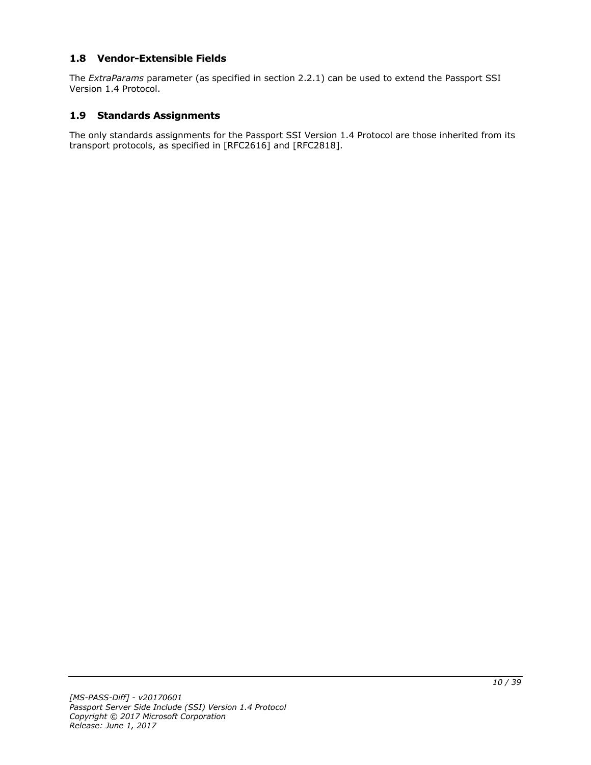## <span id="page-9-0"></span>**1.8 Vendor-Extensible Fields**

The *ExtraParams* parameter (as specified in section 2.2.1) can be used to extend the Passport SSI Version 1.4 Protocol.

#### <span id="page-9-1"></span>**1.9 Standards Assignments**

The only standards assignments for the Passport SSI Version 1.4 Protocol are those inherited from its transport protocols, as specified in [RFC2616] and [RFC2818].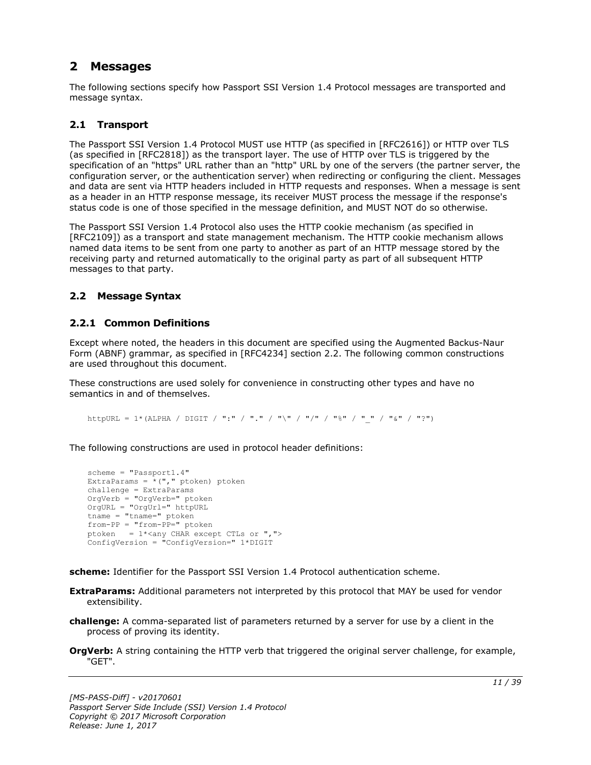## <span id="page-10-0"></span>**2 Messages**

The following sections specify how Passport SSI Version 1.4 Protocol messages are transported and message syntax.

## <span id="page-10-1"></span>**2.1 Transport**

The Passport SSI Version 1.4 Protocol MUST use HTTP (as specified in [RFC2616]) or HTTP over TLS (as specified in [RFC2818]) as the transport layer. The use of HTTP over TLS is triggered by the specification of an "https" URL rather than an "http" URL by one of the servers (the partner server, the configuration server, or the authentication server) when redirecting or configuring the client. Messages and data are sent via HTTP headers included in HTTP requests and responses. When a message is sent as a header in an HTTP response message, its receiver MUST process the message if the response's status code is one of those specified in the message definition, and MUST NOT do so otherwise.

The Passport SSI Version 1.4 Protocol also uses the HTTP cookie mechanism (as specified in [RFC2109]) as a transport and state management mechanism. The HTTP cookie mechanism allows named data items to be sent from one party to another as part of an HTTP message stored by the receiving party and returned automatically to the original party as part of all subsequent HTTP messages to that party.

### <span id="page-10-2"></span>**2.2 Message Syntax**

## <span id="page-10-3"></span>**2.2.1 Common Definitions**

Except where noted, the headers in this document are specified using the Augmented Backus-Naur Form (ABNF) grammar, as specified in [RFC4234] section 2.2. The following common constructions are used throughout this document.

These constructions are used solely for convenience in constructing other types and have no semantics in and of themselves.

httpURL = 1\*(ALPHA / DIGIT / ":" / "." / "\" / "/" / "%" / " " / "&" / "?")

The following constructions are used in protocol header definitions:

```
scheme = "Passport1.4"
ExtraParams = *(", "ptoken) ptoken
challenge = ExtraParams
OrgVerb = "OrgVerb=" ptoken 
OrgURL = "OrgUrl=" httpURL
tname = "tname="from-PP = "from-PP=" ptoken
ptoken = 1*<any CHAR except CTLs or ",">
ConfigVersion = "ConfigVersion=" 1*DIGIT
```
**scheme:** Identifier for the Passport SSI Version 1.4 Protocol authentication scheme.

- **ExtraParams:** Additional parameters not interpreted by this protocol that MAY be used for vendor extensibility.
- **challenge:** A comma-separated list of parameters returned by a server for use by a client in the process of proving its identity.
- **OrgVerb:** A string containing the HTTP verb that triggered the original server challenge, for example, "GET".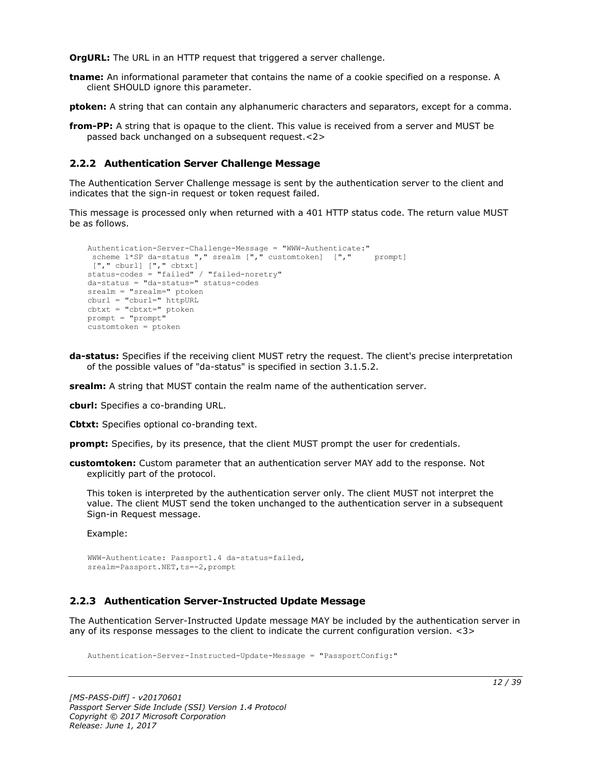**OrgURL:** The URL in an HTTP request that triggered a server challenge.

**tname:** An informational parameter that contains the name of a cookie specified on a response. A client SHOULD ignore this parameter.

**ptoken:** A string that can contain any alphanumeric characters and separators, except for a comma.

**from-PP:** A string that is opaque to the client. This value is received from a server and MUST be passed back unchanged on a subsequent request.<2>

## <span id="page-11-0"></span>**2.2.2 Authentication Server Challenge Message**

The Authentication Server Challenge message is sent by the authentication server to the client and indicates that the sign-in request or token request failed.

This message is processed only when returned with a 401 HTTP status code. The return value MUST be as follows.

```
Authentication-Server-Challenge-Message = "WWW-Authenticate:"
 scheme 1*SP da-status "," srealm ["," customtoken] ["," prompt]
["," cburl] ["," cbtxt] 
status-codes = "failed" / "failed-noretry"
da-status = "da-status=" status-codes
srealm = "srealm=" ptoken
cburl = "cburl=" httpURL
cbtxt = "cbtxt=" ptoken
prompt = "prompt"
customtoken = ptoken
```
**da-status:** Specifies if the receiving client MUST retry the request. The client's precise interpretation of the possible values of "da-status" is specified in section 3.1.5.2.

**srealm:** A string that MUST contain the realm name of the authentication server.

**cburl:** Specifies a co-branding URL.

**Cbtxt:** Specifies optional co-branding text.

**prompt:** Specifies, by its presence, that the client MUST prompt the user for credentials.

**customtoken:** Custom parameter that an authentication server MAY add to the response. Not explicitly part of the protocol.

This token is interpreted by the authentication server only. The client MUST not interpret the value. The client MUST send the token unchanged to the authentication server in a subsequent Sign-in Request message.

Example:

```
WWW-Authenticate: Passport1.4 da-status=failed,
srealm=Passport.NET, ts = - 2, prompt
```
## <span id="page-11-1"></span>**2.2.3 Authentication Server-Instructed Update Message**

The Authentication Server-Instructed Update message MAY be included by the authentication server in any of its response messages to the client to indicate the current configuration version. <3>

Authentication-Server-Instructed-Update-Message = "PassportConfig:"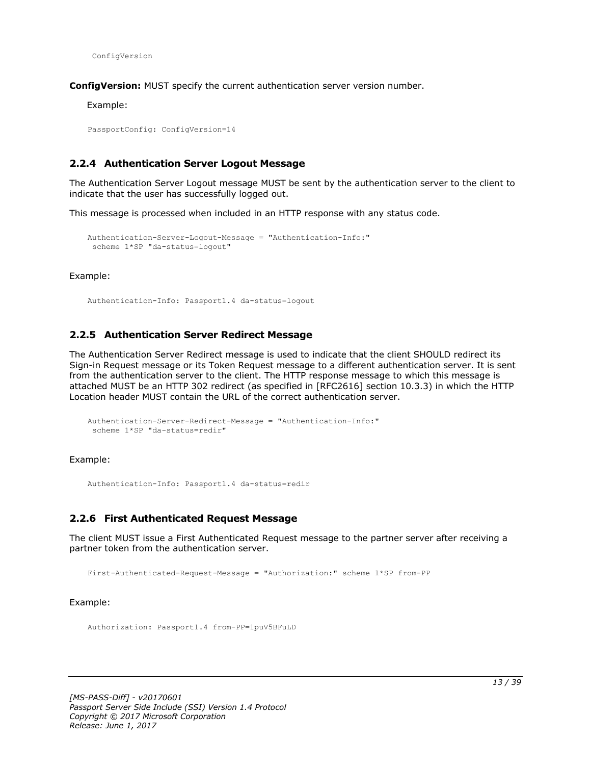ConfigVersion

**ConfigVersion:** MUST specify the current authentication server version number.

Example:

PassportConfig: ConfigVersion=14

### <span id="page-12-0"></span>**2.2.4 Authentication Server Logout Message**

The Authentication Server Logout message MUST be sent by the authentication server to the client to indicate that the user has successfully logged out.

This message is processed when included in an HTTP response with any status code.

```
Authentication-Server-Logout-Message = "Authentication-Info:"
scheme 1*SP "da-status=logout"
```
Example:

Authentication-Info: Passport1.4 da-status=logout

#### <span id="page-12-1"></span>**2.2.5 Authentication Server Redirect Message**

The Authentication Server Redirect message is used to indicate that the client SHOULD redirect its Sign-in Request message or its Token Request message to a different authentication server. It is sent from the authentication server to the client. The HTTP response message to which this message is attached MUST be an HTTP 302 redirect (as specified in [RFC2616] section 10.3.3) in which the HTTP Location header MUST contain the URL of the correct authentication server.

```
Authentication-Server-Redirect-Message = "Authentication-Info:"
scheme 1*SP "da-status=redir"
```
Example:

Authentication-Info: Passport1.4 da-status=redir

#### <span id="page-12-2"></span>**2.2.6 First Authenticated Request Message**

The client MUST issue a First Authenticated Request message to the partner server after receiving a partner token from the authentication server.

First-Authenticated-Request-Message = "Authorization:" scheme 1\*SP from-PP

Example:

Authorization: Passport1.4 from-PP=1puV5BFuLD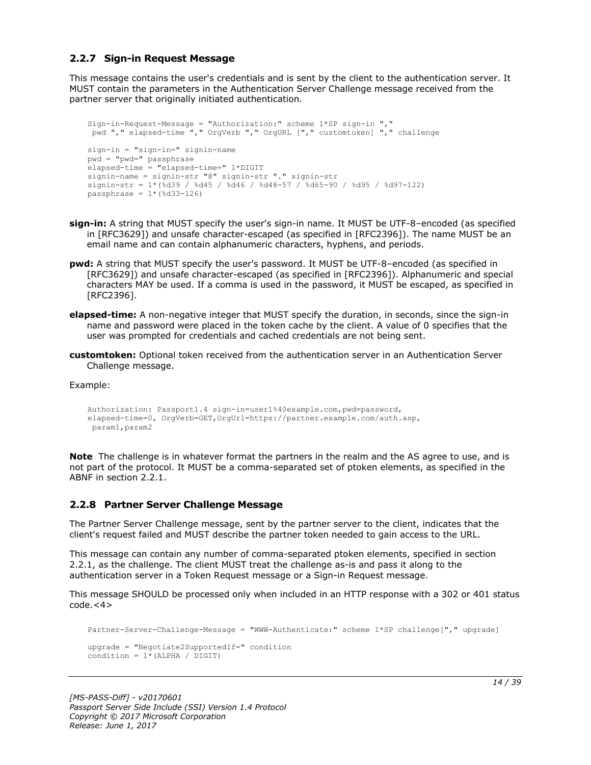### <span id="page-13-0"></span>**2.2.7 Sign-in Request Message**

This message contains the user's credentials and is sent by the client to the authentication server. It MUST contain the parameters in the Authentication Server Challenge message received from the partner server that originally initiated authentication.

```
Sign-in-Request-Message = "Authorization:" scheme 1*SP sign-in ","
pwd "," elapsed-time "," OrgVerb "," OrgURL ["," customtoken] "," challenge
sign-in = "sign-in=" signin-name
pwd = "pwd=" passphrase
elapsed-time = "elapsed-time=" 1*DIGIT
signin-name = signin-str "@" signin-str "." signin-str
signin-str = 1*(%d39 / %d45 / %d46 / %d48-57 / %d65-90 / %d95 / %d97-122)
passphrase = 1*(%d33-126)
```
- **sign-in:** A string that MUST specify the user's sign-in name. It MUST be UTF-8–encoded (as specified in [RFC3629]) and unsafe character-escaped (as specified in [RFC2396]). The name MUST be an email name and can contain alphanumeric characters, hyphens, and periods.
- **pwd:** A string that MUST specify the user's password. It MUST be UTF-8–encoded (as specified in [RFC3629]) and unsafe character-escaped (as specified in [RFC2396]). Alphanumeric and special characters MAY be used. If a comma is used in the password, it MUST be escaped, as specified in [RFC2396].
- **elapsed-time:** A non-negative integer that MUST specify the duration, in seconds, since the sign-in name and password were placed in the token cache by the client. A value of 0 specifies that the user was prompted for credentials and cached credentials are not being sent.
- **customtoken:** Optional token received from the authentication server in an Authentication Server Challenge message.

Example:

```
Authorization: Passport1.4 sign-in=user1%40example.com,pwd=password,
elapsed-time=0, OrgVerb=GET,OrgUrl=https://partner.example.com/auth.asp,
param1,param2
```
**Note** The challenge is in whatever format the partners in the realm and the AS agree to use, and is not part of the protocol. It MUST be a comma-separated set of ptoken elements, as specified in the ABNF in section 2.2.1.

#### <span id="page-13-1"></span>**2.2.8 Partner Server Challenge Message**

The Partner Server Challenge message, sent by the partner server to the client, indicates that the client's request failed and MUST describe the partner token needed to gain access to the URL.

This message can contain any number of comma-separated ptoken elements, specified in section 2.2.1, as the challenge. The client MUST treat the challenge as-is and pass it along to the authentication server in a Token Request message or a Sign-in Request message.

This message SHOULD be processed only when included in an HTTP response with a 302 or 401 status  $code.<<sub>4</sub>$ 

```
Partner-Server-Challenge-Message = "WWW-Authenticate:" scheme 1*SP challenge["," upgrade]
upgrade = "Negotiate2SupportedIf=" condition
condition = 1*(ALPHA / DIGIT)
```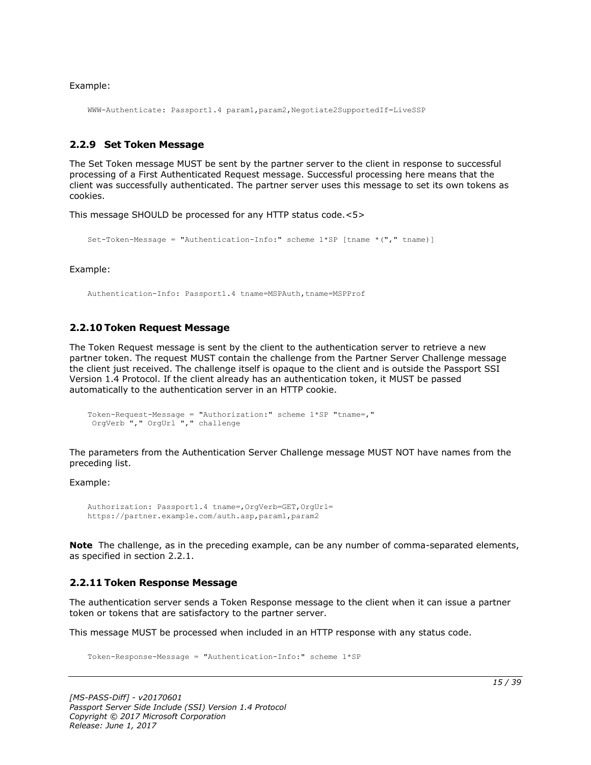Example:

WWW-Authenticate: Passport1.4 param1,param2,Negotiate2SupportedIf=LiveSSP

#### <span id="page-14-0"></span>**2.2.9 Set Token Message**

The Set Token message MUST be sent by the partner server to the client in response to successful processing of a First Authenticated Request message. Successful processing here means that the client was successfully authenticated. The partner server uses this message to set its own tokens as cookies.

This message SHOULD be processed for any HTTP status code.<5>

```
Set-Token-Message = "Authentication-Info:" scheme 1*SP [tname *("," tname)]
```
Example:

Authentication-Info: Passport1.4 tname=MSPAuth,tname=MSPProf

#### <span id="page-14-1"></span>**2.2.10 Token Request Message**

The Token Request message is sent by the client to the authentication server to retrieve a new partner token. The request MUST contain the challenge from the Partner Server Challenge message the client just received. The challenge itself is opaque to the client and is outside the Passport SSI Version 1.4 Protocol. If the client already has an authentication token, it MUST be passed automatically to the authentication server in an HTTP cookie.

```
Token-Request-Message = "Authorization:" scheme 1*SP "tname=,"
OrgVerb "," OrgUrl "," challenge
```
The parameters from the Authentication Server Challenge message MUST NOT have names from the preceding list.

Example:

```
Authorization: Passport1.4 tname=,OrgVerb=GET,OrgUrl=
https://partner.example.com/auth.asp,param1,param2
```
**Note** The challenge, as in the preceding example, can be any number of comma-separated elements, as specified in section 2.2.1.

#### <span id="page-14-2"></span>**2.2.11 Token Response Message**

The authentication server sends a Token Response message to the client when it can issue a partner token or tokens that are satisfactory to the partner server.

This message MUST be processed when included in an HTTP response with any status code.

Token-Response-Message = "Authentication-Info:" scheme 1\*SP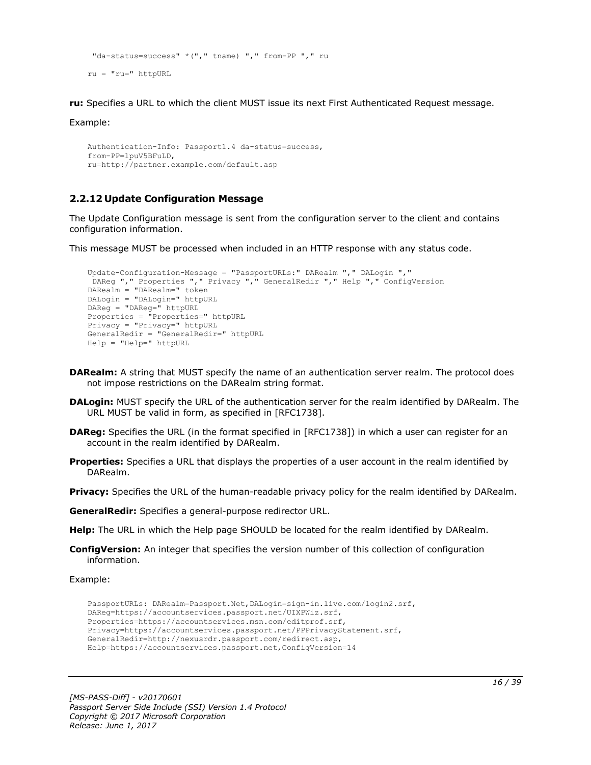```
"da-status=success" *("," tname) "," from-PP "," ru
ru = "ru=" httpURL
```
**ru:** Specifies a URL to which the client MUST issue its next First Authenticated Request message.

Example:

```
Authentication-Info: Passport1.4 da-status=success,
from-PP=1puV5BFuLD,
ru=http://partner.example.com/default.asp
```
## <span id="page-15-0"></span>**2.2.12 Update Configuration Message**

The Update Configuration message is sent from the configuration server to the client and contains configuration information.

This message MUST be processed when included in an HTTP response with any status code.

```
Update-Configuration-Message = "PassportURLs:" DARealm "," DALogin ","
DAReg "," Properties "," Privacy "," GeneralRedir "," Help "," ConfigVersion
DARealm = "DARealm=" token
DALogin = "DALogin=" httpURL
DAReg = "DAReg=" httpURL
Properties = "Properties=" httpURL
Privacy = "Privacy=" httpURL
GeneralRedir = "GeneralRedir=" httpURL
Help = "Help=" httpURL
```
- **DARealm:** A string that MUST specify the name of an authentication server realm. The protocol does not impose restrictions on the DARealm string format.
- **DALogin:** MUST specify the URL of the authentication server for the realm identified by DARealm. The URL MUST be valid in form, as specified in [RFC1738].
- **DAReg:** Specifies the URL (in the format specified in [RFC1738]) in which a user can register for an account in the realm identified by DARealm.
- **Properties:** Specifies a URL that displays the properties of a user account in the realm identified by DARealm.

**Privacy:** Specifies the URL of the human-readable privacy policy for the realm identified by DARealm.

**GeneralRedir:** Specifies a general-purpose redirector URL.

**Help:** The URL in which the Help page SHOULD be located for the realm identified by DARealm.

**ConfigVersion:** An integer that specifies the version number of this collection of configuration information.

Example:

```
PassportURLs: DARealm=Passport.Net,DALogin=sign-in.live.com/login2.srf,
DAReg=https://accountservices.passport.net/UIXPWiz.srf,
Properties=https://accountservices.msn.com/editprof.srf,
Privacy=https://accountservices.passport.net/PPPrivacyStatement.srf,
GeneralRedir=http://nexusrdr.passport.com/redirect.asp,
Help=https://accountservices.passport.net,ConfigVersion=14
```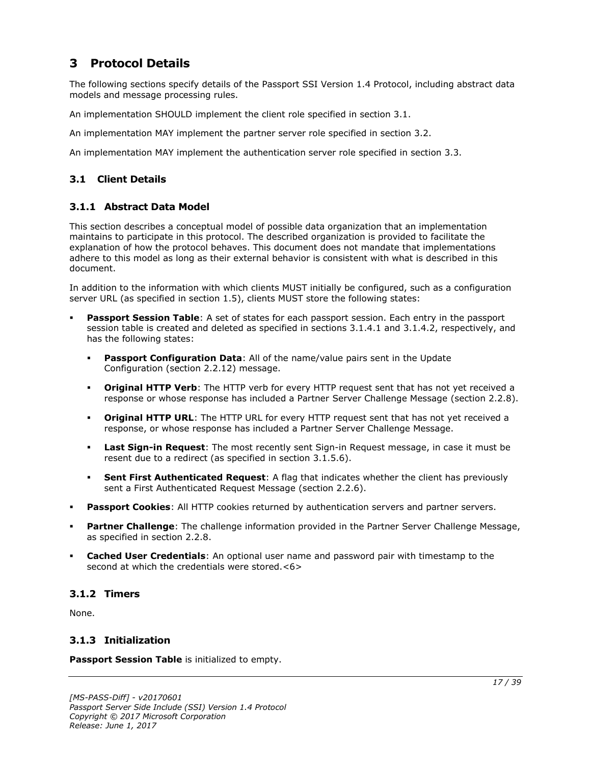## <span id="page-16-0"></span>**3 Protocol Details**

The following sections specify details of the Passport SSI Version 1.4 Protocol, including abstract data models and message processing rules.

An implementation SHOULD implement the client role specified in section 3.1.

An implementation MAY implement the partner server role specified in section 3.2.

An implementation MAY implement the authentication server role specified in section 3.3.

## <span id="page-16-1"></span>**3.1 Client Details**

## <span id="page-16-2"></span>**3.1.1 Abstract Data Model**

This section describes a conceptual model of possible data organization that an implementation maintains to participate in this protocol. The described organization is provided to facilitate the explanation of how the protocol behaves. This document does not mandate that implementations adhere to this model as long as their external behavior is consistent with what is described in this document.

In addition to the information with which clients MUST initially be configured, such as a configuration server URL (as specified in section 1.5), clients MUST store the following states:

- **Passport Session Table**: A set of states for each passport session. Each entry in the passport session table is created and deleted as specified in sections 3.1.4.1 and 3.1.4.2, respectively, and has the following states:
	- **Passport Configuration Data:** All of the name/value pairs sent in the Update Configuration (section 2.2.12) message.
	- **Original HTTP Verb**: The HTTP verb for every HTTP request sent that has not yet received a response or whose response has included a Partner Server Challenge Message (section 2.2.8).
	- **Original HTTP URL**: The HTTP URL for every HTTP request sent that has not yet received a response, or whose response has included a Partner Server Challenge Message.
	- **Last Sign-in Request**: The most recently sent Sign-in Request message, in case it must be resent due to a redirect (as specified in section 3.1.5.6).
	- **Sent First Authenticated Request:** A flag that indicates whether the client has previously sent a First Authenticated Request Message (section 2.2.6).
- **Passport Cookies:** All HTTP cookies returned by authentication servers and partner servers.
- Partner Challenge: The challenge information provided in the Partner Server Challenge Message, as specified in section 2.2.8.
- **Cached User Credentials:** An optional user name and password pair with timestamp to the second at which the credentials were stored.<6>

## <span id="page-16-3"></span>**3.1.2 Timers**

None.

## <span id="page-16-4"></span>**3.1.3 Initialization**

**Passport Session Table** is initialized to empty.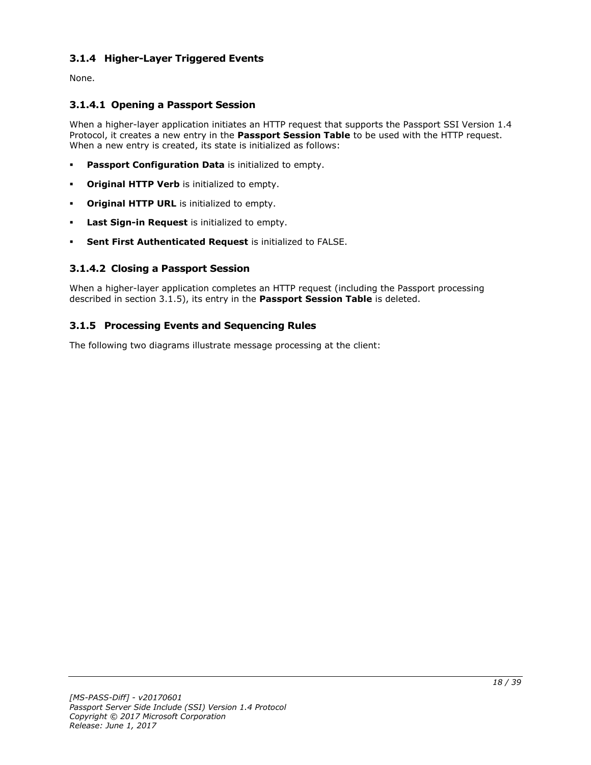## <span id="page-17-0"></span>**3.1.4 Higher-Layer Triggered Events**

None.

## <span id="page-17-1"></span>**3.1.4.1 Opening a Passport Session**

When a higher-layer application initiates an HTTP request that supports the Passport SSI Version 1.4 Protocol, it creates a new entry in the **Passport Session Table** to be used with the HTTP request. When a new entry is created, its state is initialized as follows:

- **Passport Configuration Data** is initialized to empty.
- **Original HTTP Verb** is initialized to empty.
- **Original HTTP URL** is initialized to empty.
- Last Sign-in Request is initialized to empty.
- **Sent First Authenticated Request** is initialized to FALSE.

## <span id="page-17-2"></span>**3.1.4.2 Closing a Passport Session**

When a higher-layer application completes an HTTP request (including the Passport processing described in section 3.1.5), its entry in the **Passport Session Table** is deleted.

## <span id="page-17-3"></span>**3.1.5 Processing Events and Sequencing Rules**

The following two diagrams illustrate message processing at the client: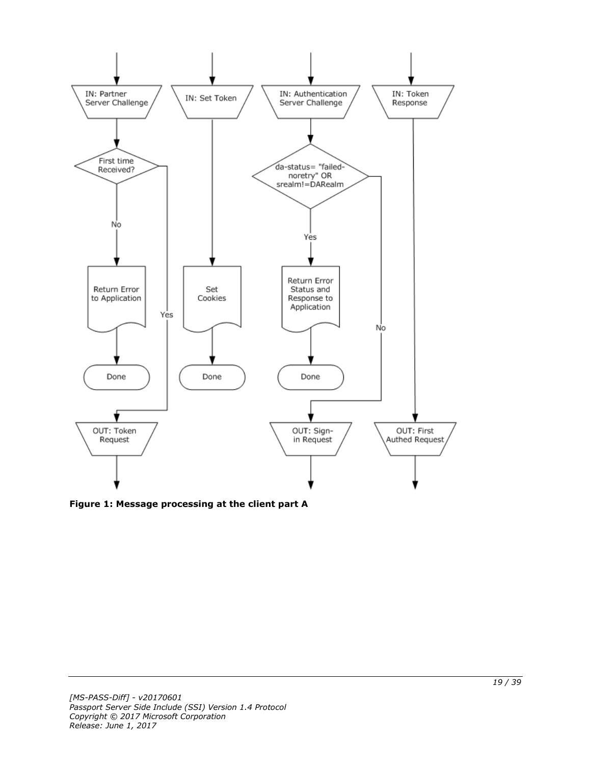

**Figure 1: Message processing at the client part A**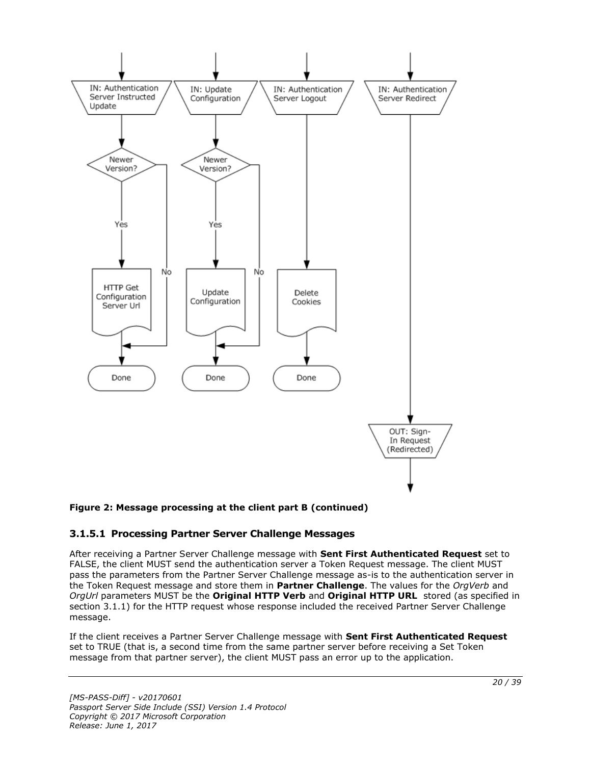

### **Figure 2: Message processing at the client part B (continued)**

### <span id="page-19-0"></span>**3.1.5.1 Processing Partner Server Challenge Messages**

After receiving a Partner Server Challenge message with **Sent First Authenticated Request** set to FALSE, the client MUST send the authentication server a Token Request message. The client MUST pass the parameters from the Partner Server Challenge message as-is to the authentication server in the Token Request message and store them in **Partner Challenge**. The values for the *OrgVerb* and *OrgUrl* parameters MUST be the **Original HTTP Verb** and **Original HTTP URL** stored (as specified in section 3.1.1) for the HTTP request whose response included the received Partner Server Challenge message.

If the client receives a Partner Server Challenge message with **Sent First Authenticated Request** set to TRUE (that is, a second time from the same partner server before receiving a Set Token message from that partner server), the client MUST pass an error up to the application.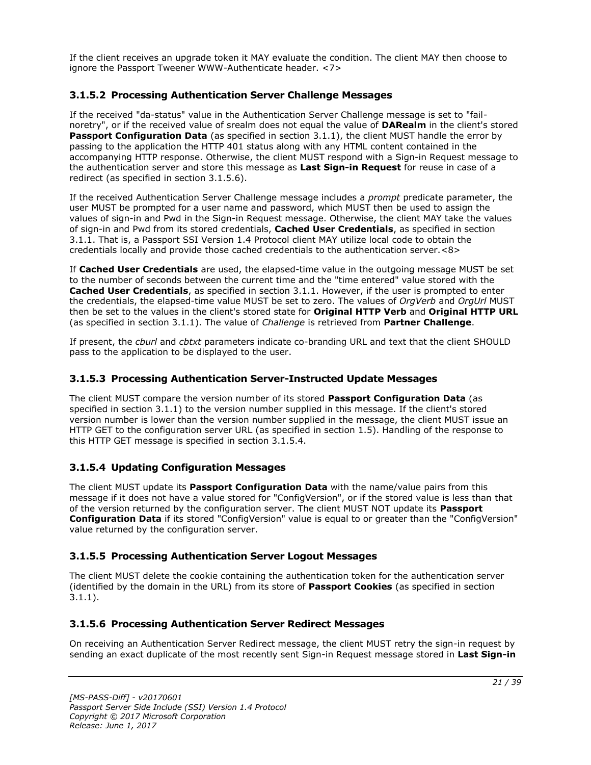If the client receives an upgrade token it MAY evaluate the condition. The client MAY then choose to ignore the Passport Tweener WWW-Authenticate header. <7>

## <span id="page-20-0"></span>**3.1.5.2 Processing Authentication Server Challenge Messages**

If the received "da-status" value in the Authentication Server Challenge message is set to "failnoretry", or if the received value of srealm does not equal the value of **DARealm** in the client's stored Passport Configuration Data (as specified in section 3.1.1), the client MUST handle the error by passing to the application the HTTP 401 status along with any HTML content contained in the accompanying HTTP response. Otherwise, the client MUST respond with a Sign-in Request message to the authentication server and store this message as **Last Sign-in Request** for reuse in case of a redirect (as specified in section 3.1.5.6).

If the received Authentication Server Challenge message includes a *prompt* predicate parameter, the user MUST be prompted for a user name and password, which MUST then be used to assign the values of sign-in and Pwd in the Sign-in Request message. Otherwise, the client MAY take the values of sign-in and Pwd from its stored credentials, **Cached User Credentials**, as specified in section 3.1.1. That is, a Passport SSI Version 1.4 Protocol client MAY utilize local code to obtain the credentials locally and provide those cached credentials to the authentication server.<8>

If **Cached User Credentials** are used, the elapsed-time value in the outgoing message MUST be set to the number of seconds between the current time and the "time entered" value stored with the **Cached User Credentials**, as specified in section 3.1.1. However, if the user is prompted to enter the credentials, the elapsed-time value MUST be set to zero. The values of *OrgVerb* and *OrgUrl* MUST then be set to the values in the client's stored state for **Original HTTP Verb** and **Original HTTP URL** (as specified in section 3.1.1). The value of *Challenge* is retrieved from **Partner Challenge**.

If present, the *cburl* and *cbtxt* parameters indicate co-branding URL and text that the client SHOULD pass to the application to be displayed to the user.

## <span id="page-20-1"></span>**3.1.5.3 Processing Authentication Server-Instructed Update Messages**

The client MUST compare the version number of its stored **Passport Configuration Data** (as specified in section 3.1.1) to the version number supplied in this message. If the client's stored version number is lower than the version number supplied in the message, the client MUST issue an HTTP GET to the configuration server URL (as specified in section 1.5). Handling of the response to this HTTP GET message is specified in section 3.1.5.4.

## <span id="page-20-2"></span>**3.1.5.4 Updating Configuration Messages**

The client MUST update its **Passport Configuration Data** with the name/value pairs from this message if it does not have a value stored for "ConfigVersion", or if the stored value is less than that of the version returned by the configuration server. The client MUST NOT update its **Passport Configuration Data** if its stored "ConfigVersion" value is equal to or greater than the "ConfigVersion" value returned by the configuration server.

## <span id="page-20-3"></span>**3.1.5.5 Processing Authentication Server Logout Messages**

The client MUST delete the cookie containing the authentication token for the authentication server (identified by the domain in the URL) from its store of **Passport Cookies** (as specified in section 3.1.1).

## <span id="page-20-4"></span>**3.1.5.6 Processing Authentication Server Redirect Messages**

On receiving an Authentication Server Redirect message, the client MUST retry the sign-in request by sending an exact duplicate of the most recently sent Sign-in Request message stored in **Last Sign-in**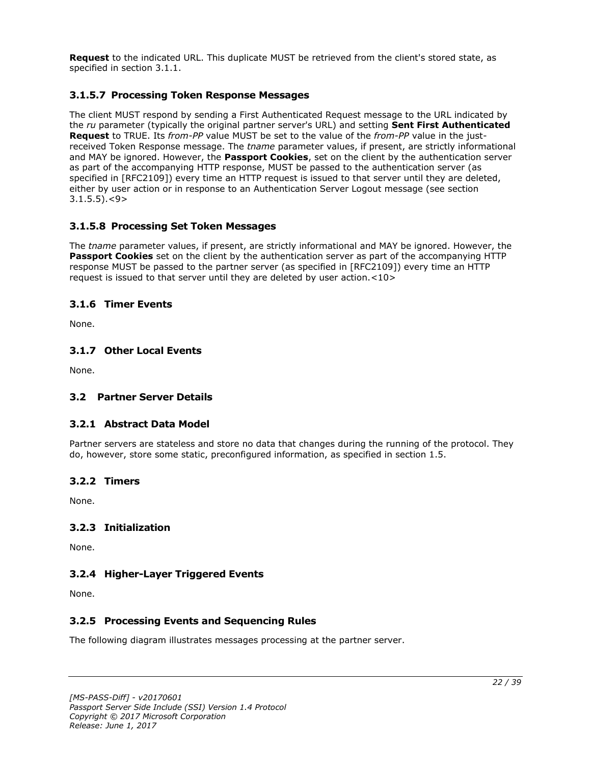**Request** to the indicated URL. This duplicate MUST be retrieved from the client's stored state, as specified in section 3.1.1.

## <span id="page-21-0"></span>**3.1.5.7 Processing Token Response Messages**

The client MUST respond by sending a First Authenticated Request message to the URL indicated by the *ru* parameter (typically the original partner server's URL) and setting **Sent First Authenticated Request** to TRUE. Its *from-PP* value MUST be set to the value of the *from-PP* value in the justreceived Token Response message. The *tname* parameter values, if present, are strictly informational and MAY be ignored. However, the **Passport Cookies**, set on the client by the authentication server as part of the accompanying HTTP response, MUST be passed to the authentication server (as specified in [RFC2109]) every time an HTTP request is issued to that server until they are deleted, either by user action or in response to an Authentication Server Logout message (see section  $3.1.5.5$ ). $<$ 9>

## <span id="page-21-1"></span>**3.1.5.8 Processing Set Token Messages**

The *tname* parameter values, if present, are strictly informational and MAY be ignored. However, the **Passport Cookies** set on the client by the authentication server as part of the accompanying HTTP response MUST be passed to the partner server (as specified in [RFC2109]) every time an HTTP request is issued to that server until they are deleted by user action.<10>

### <span id="page-21-2"></span>**3.1.6 Timer Events**

None.

### <span id="page-21-3"></span>**3.1.7 Other Local Events**

None.

### <span id="page-21-5"></span><span id="page-21-4"></span>**3.2 Partner Server Details**

### **3.2.1 Abstract Data Model**

Partner servers are stateless and store no data that changes during the running of the protocol. They do, however, store some static, preconfigured information, as specified in section 1.5.

#### <span id="page-21-6"></span>**3.2.2 Timers**

None.

### <span id="page-21-7"></span>**3.2.3 Initialization**

None.

### <span id="page-21-8"></span>**3.2.4 Higher-Layer Triggered Events**

None.

### <span id="page-21-9"></span>**3.2.5 Processing Events and Sequencing Rules**

The following diagram illustrates messages processing at the partner server.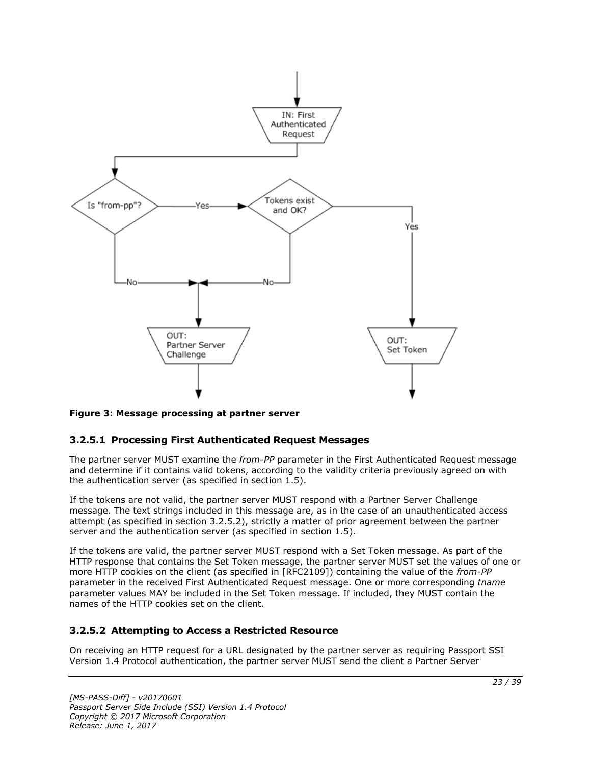

**Figure 3: Message processing at partner server**

### <span id="page-22-0"></span>**3.2.5.1 Processing First Authenticated Request Messages**

The partner server MUST examine the *from-PP* parameter in the First Authenticated Request message and determine if it contains valid tokens, according to the validity criteria previously agreed on with the authentication server (as specified in section 1.5).

If the tokens are not valid, the partner server MUST respond with a Partner Server Challenge message. The text strings included in this message are, as in the case of an unauthenticated access attempt (as specified in section 3.2.5.2), strictly a matter of prior agreement between the partner server and the authentication server (as specified in section 1.5).

If the tokens are valid, the partner server MUST respond with a Set Token message. As part of the HTTP response that contains the Set Token message, the partner server MUST set the values of one or more HTTP cookies on the client (as specified in [RFC2109]) containing the value of the *from-PP* parameter in the received First Authenticated Request message. One or more corresponding *tname* parameter values MAY be included in the Set Token message. If included, they MUST contain the names of the HTTP cookies set on the client.

## <span id="page-22-1"></span>**3.2.5.2 Attempting to Access a Restricted Resource**

On receiving an HTTP request for a URL designated by the partner server as requiring Passport SSI Version 1.4 Protocol authentication, the partner server MUST send the client a Partner Server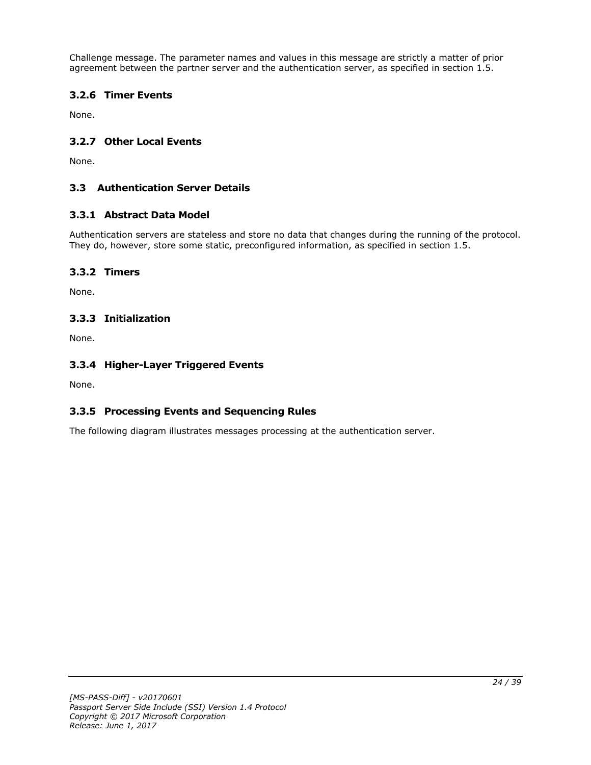Challenge message. The parameter names and values in this message are strictly a matter of prior agreement between the partner server and the authentication server, as specified in section 1.5.

## <span id="page-23-0"></span>**3.2.6 Timer Events**

None.

## <span id="page-23-1"></span>**3.2.7 Other Local Events**

None.

## <span id="page-23-2"></span>**3.3 Authentication Server Details**

## <span id="page-23-3"></span>**3.3.1 Abstract Data Model**

Authentication servers are stateless and store no data that changes during the running of the protocol. They do, however, store some static, preconfigured information, as specified in section 1.5.

## <span id="page-23-4"></span>**3.3.2 Timers**

None.

## <span id="page-23-5"></span>**3.3.3 Initialization**

None.

## <span id="page-23-6"></span>**3.3.4 Higher-Layer Triggered Events**

None.

## <span id="page-23-7"></span>**3.3.5 Processing Events and Sequencing Rules**

The following diagram illustrates messages processing at the authentication server.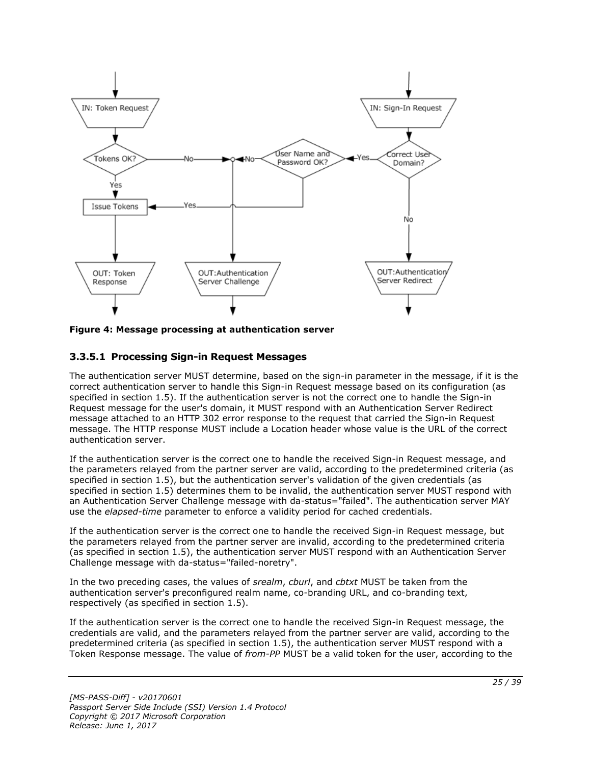

**Figure 4: Message processing at authentication server**

## <span id="page-24-0"></span>**3.3.5.1 Processing Sign-in Request Messages**

The authentication server MUST determine, based on the sign-in parameter in the message, if it is the correct authentication server to handle this Sign-in Request message based on its configuration (as specified in section 1.5). If the authentication server is not the correct one to handle the Sign-in Request message for the user's domain, it MUST respond with an Authentication Server Redirect message attached to an HTTP 302 error response to the request that carried the Sign-in Request message. The HTTP response MUST include a Location header whose value is the URL of the correct authentication server.

If the authentication server is the correct one to handle the received Sign-in Request message, and the parameters relayed from the partner server are valid, according to the predetermined criteria (as specified in section 1.5), but the authentication server's validation of the given credentials (as specified in section 1.5) determines them to be invalid, the authentication server MUST respond with an Authentication Server Challenge message with da-status="failed". The authentication server MAY use the *elapsed-time* parameter to enforce a validity period for cached credentials.

If the authentication server is the correct one to handle the received Sign-in Request message, but the parameters relayed from the partner server are invalid, according to the predetermined criteria (as specified in section 1.5), the authentication server MUST respond with an Authentication Server Challenge message with da-status="failed-noretry".

In the two preceding cases, the values of *srealm*, *cburl*, and *cbtxt* MUST be taken from the authentication server's preconfigured realm name, co-branding URL, and co-branding text, respectively (as specified in section 1.5).

If the authentication server is the correct one to handle the received Sign-in Request message, the credentials are valid, and the parameters relayed from the partner server are valid, according to the predetermined criteria (as specified in section 1.5), the authentication server MUST respond with a Token Response message. The value of *from-PP* MUST be a valid token for the user, according to the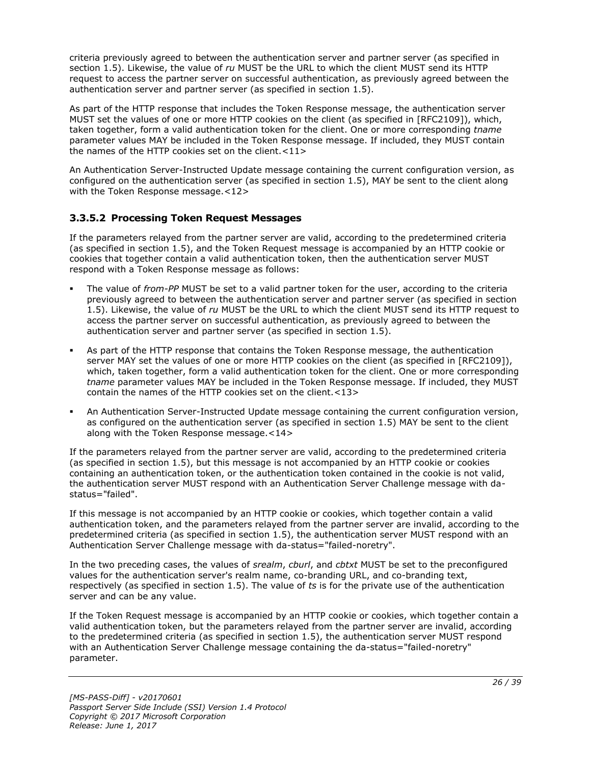criteria previously agreed to between the authentication server and partner server (as specified in section 1.5). Likewise, the value of *ru* MUST be the URL to which the client MUST send its HTTP request to access the partner server on successful authentication, as previously agreed between the authentication server and partner server (as specified in section 1.5).

As part of the HTTP response that includes the Token Response message, the authentication server MUST set the values of one or more HTTP cookies on the client (as specified in [RFC2109]), which, taken together, form a valid authentication token for the client. One or more corresponding *tname* parameter values MAY be included in the Token Response message. If included, they MUST contain the names of the HTTP cookies set on the client.<11>

An Authentication Server-Instructed Update message containing the current configuration version, as configured on the authentication server (as specified in section 1.5), MAY be sent to the client along with the Token Response message.<12>

## <span id="page-25-0"></span>**3.3.5.2 Processing Token Request Messages**

If the parameters relayed from the partner server are valid, according to the predetermined criteria (as specified in section 1.5), and the Token Request message is accompanied by an HTTP cookie or cookies that together contain a valid authentication token, then the authentication server MUST respond with a Token Response message as follows:

- The value of *from-PP* MUST be set to a valid partner token for the user, according to the criteria previously agreed to between the authentication server and partner server (as specified in section 1.5). Likewise, the value of *ru* MUST be the URL to which the client MUST send its HTTP request to access the partner server on successful authentication, as previously agreed to between the authentication server and partner server (as specified in section 1.5).
- As part of the HTTP response that contains the Token Response message, the authentication server MAY set the values of one or more HTTP cookies on the client (as specified in [RFC2109]), which, taken together, form a valid authentication token for the client. One or more corresponding *tname* parameter values MAY be included in the Token Response message. If included, they MUST contain the names of the HTTP cookies set on the client.<13>
- An Authentication Server-Instructed Update message containing the current configuration version, as configured on the authentication server (as specified in section 1.5) MAY be sent to the client along with the Token Response message.<14>

If the parameters relayed from the partner server are valid, according to the predetermined criteria (as specified in section 1.5), but this message is not accompanied by an HTTP cookie or cookies containing an authentication token, or the authentication token contained in the cookie is not valid, the authentication server MUST respond with an Authentication Server Challenge message with dastatus="failed".

If this message is not accompanied by an HTTP cookie or cookies, which together contain a valid authentication token, and the parameters relayed from the partner server are invalid, according to the predetermined criteria (as specified in section 1.5), the authentication server MUST respond with an Authentication Server Challenge message with da-status="failed-noretry".

In the two preceding cases, the values of *srealm*, *cburl*, and *cbtxt* MUST be set to the preconfigured values for the authentication server's realm name, co-branding URL, and co-branding text, respectively (as specified in section 1.5). The value of *ts* is for the private use of the authentication server and can be any value.

If the Token Request message is accompanied by an HTTP cookie or cookies, which together contain a valid authentication token, but the parameters relayed from the partner server are invalid, according to the predetermined criteria (as specified in section 1.5), the authentication server MUST respond with an Authentication Server Challenge message containing the da-status="failed-noretry" parameter.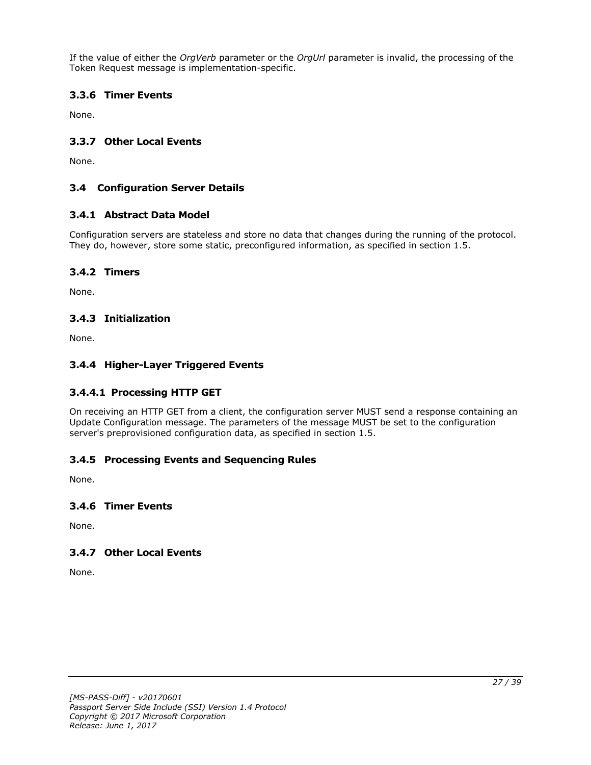If the value of either the *OrgVerb* parameter or the *OrgUrl* parameter is invalid, the processing of the Token Request message is implementation-specific.

## <span id="page-26-0"></span>**3.3.6 Timer Events**

None.

### <span id="page-26-1"></span>**3.3.7 Other Local Events**

None.

### <span id="page-26-2"></span>**3.4 Configuration Server Details**

### <span id="page-26-3"></span>**3.4.1 Abstract Data Model**

Configuration servers are stateless and store no data that changes during the running of the protocol. They do, however, store some static, preconfigured information, as specified in section 1.5.

### <span id="page-26-4"></span>**3.4.2 Timers**

None.

### <span id="page-26-5"></span>**3.4.3 Initialization**

None.

### <span id="page-26-6"></span>**3.4.4 Higher-Layer Triggered Events**

### <span id="page-26-7"></span>**3.4.4.1 Processing HTTP GET**

On receiving an HTTP GET from a client, the configuration server MUST send a response containing an Update Configuration message. The parameters of the message MUST be set to the configuration server's preprovisioned configuration data, as specified in section 1.5.

### <span id="page-26-8"></span>**3.4.5 Processing Events and Sequencing Rules**

None.

#### <span id="page-26-9"></span>**3.4.6 Timer Events**

None.

### <span id="page-26-10"></span>**3.4.7 Other Local Events**

None.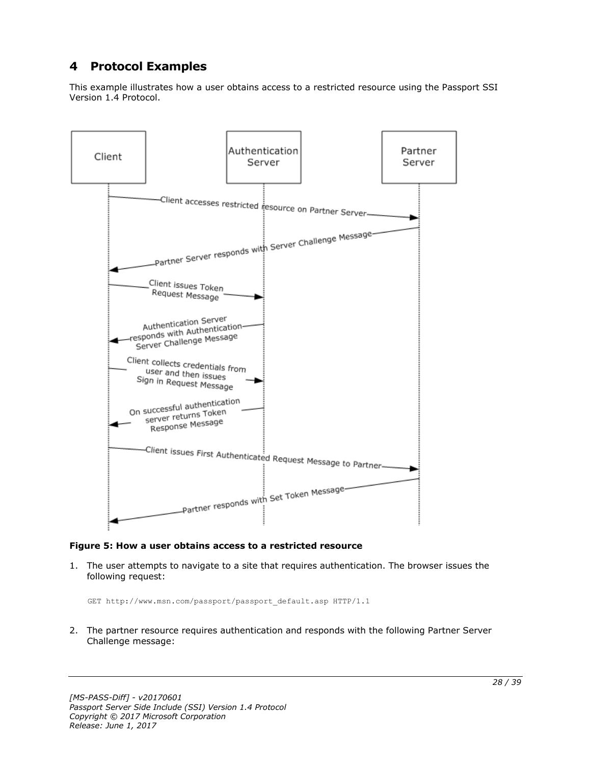## <span id="page-27-0"></span>**4 Protocol Examples**

This example illustrates how a user obtains access to a restricted resource using the Passport SSI Version 1.4 Protocol.



#### **Figure 5: How a user obtains access to a restricted resource**

1. The user attempts to navigate to a site that requires authentication. The browser issues the following request:

GET http://www.msn.com/passport/passport\_default.asp HTTP/1.1

2. The partner resource requires authentication and responds with the following Partner Server Challenge message: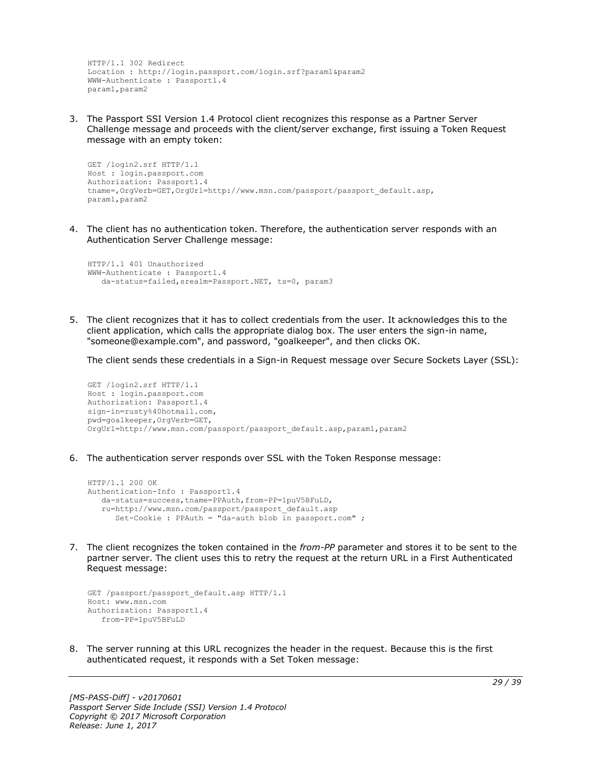```
HTTP/1.1 302 Redirect
Location : http://login.passport.com/login.srf?param1&param2
WWW-Authenticate : Passport1.4
param1,param2
```
3. The Passport SSI Version 1.4 Protocol client recognizes this response as a Partner Server Challenge message and proceeds with the client/server exchange, first issuing a Token Request message with an empty token:

```
GET /login2.srf HTTP/1.1
Host : login.passport.com
Authorization: Passport1.4
tname=,OrgVerb=GET,OrgUrl=http://www.msn.com/passport/passport_default.asp,
param1,param2
```
4. The client has no authentication token. Therefore, the authentication server responds with an Authentication Server Challenge message:

```
HTTP/1.1 401 Unauthorized
WWW-Authenticate : Passport1.4
    da-status=failed,srealm=Passport.NET, ts=0, param3
```
5. The client recognizes that it has to collect credentials from the user. It acknowledges this to the client application, which calls the appropriate dialog box. The user enters the sign-in name, "someone@example.com", and password, "goalkeeper", and then clicks OK.

The client sends these credentials in a Sign-in Request message over Secure Sockets Layer (SSL):

```
GET /login2.srf HTTP/1.1
Host : login.passport.com
Authorization: Passport1.4
sign-in=rusty%40hotmail.com,
pwd=goalkeeper,OrgVerb=GET,
OrgUrl=http://www.msn.com/passport/passport_default.asp,param1,param2
```
6. The authentication server responds over SSL with the Token Response message:

```
HTTP/1.1 200 OK
Authentication-Info : Passport1.4
    da-status=success,tname=PPAuth,from-PP=1puV5BFuLD,
    ru=http://www.msn.com/passport/passport_default.asp
      Set-Cookie : PPAuth = "da-auth blob in passport.com" ;
```
7. The client recognizes the token contained in the *from-PP* parameter and stores it to be sent to the partner server. The client uses this to retry the request at the return URL in a First Authenticated Request message:

```
GET /passport/passport default.asp HTTP/1.1
Host: www.msn.com
Authorization: Passport1.4
   from-PP=1puV5BFuLD
```
8. The server running at this URL recognizes the header in the request. Because this is the first authenticated request, it responds with a Set Token message: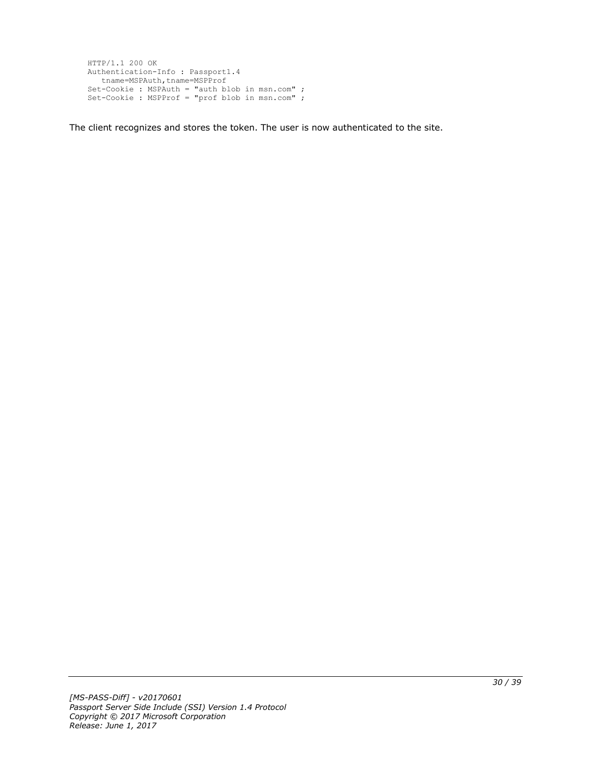```
HTTP/1.1 200 OK
Authentication-Info : Passport1.4
  tname=MSPAuth,tname=MSPProf
Set-Cookie : MSPAuth = "auth blob in msn.com" ;
Set-Cookie : MSPProf = "prof blob in msn.com" ;
```
The client recognizes and stores the token. The user is now authenticated to the site.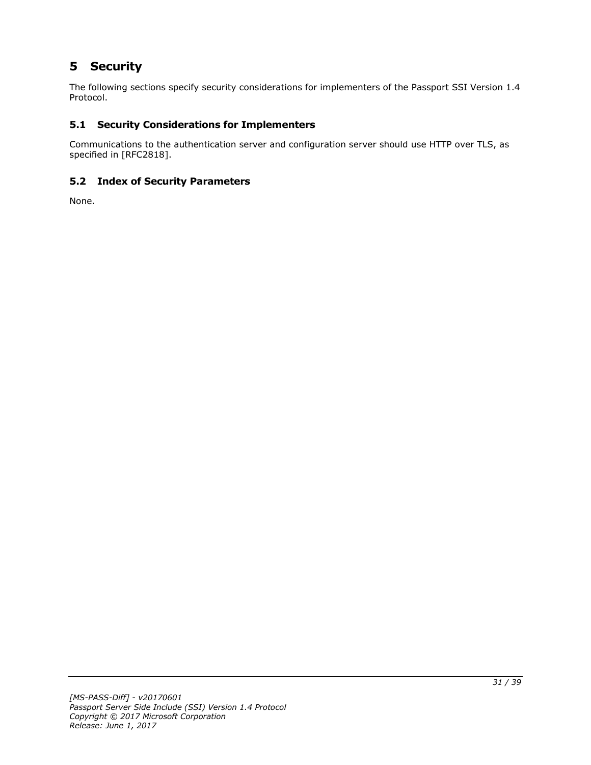## <span id="page-30-0"></span>**5 Security**

The following sections specify security considerations for implementers of the Passport SSI Version 1.4 Protocol.

## <span id="page-30-1"></span>**5.1 Security Considerations for Implementers**

Communications to the authentication server and configuration server should use HTTP over TLS, as specified in [RFC2818].

## <span id="page-30-2"></span>**5.2 Index of Security Parameters**

None.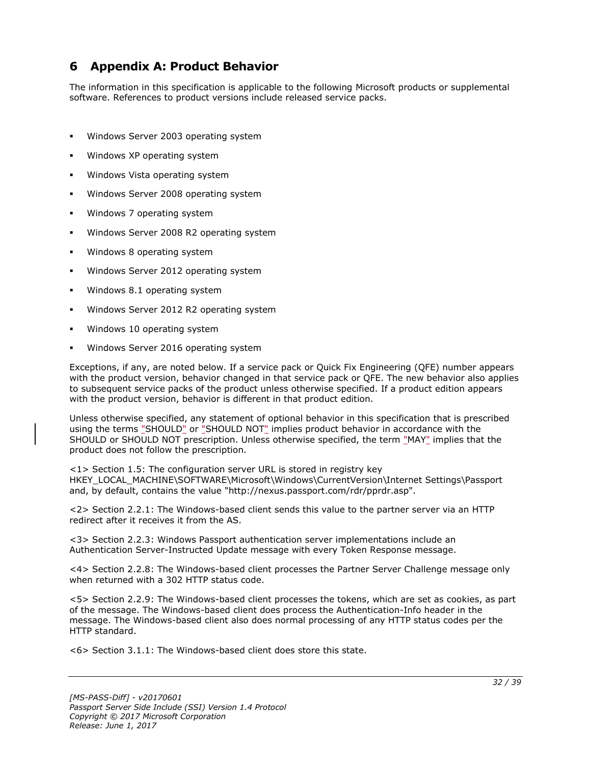## <span id="page-31-0"></span>**6 Appendix A: Product Behavior**

The information in this specification is applicable to the following Microsoft products or supplemental software. References to product versions include released service packs.

- Windows Server 2003 operating system
- Windows XP operating system
- Windows Vista operating system
- Windows Server 2008 operating system
- Windows 7 operating system
- Windows Server 2008 R2 operating system
- Windows 8 operating system
- Windows Server 2012 operating system
- Windows 8.1 operating system
- Windows Server 2012 R2 operating system
- Windows 10 operating system
- Windows Server 2016 operating system

Exceptions, if any, are noted below. If a service pack or Quick Fix Engineering (QFE) number appears with the product version, behavior changed in that service pack or QFE. The new behavior also applies to subsequent service packs of the product unless otherwise specified. If a product edition appears with the product version, behavior is different in that product edition.

Unless otherwise specified, any statement of optional behavior in this specification that is prescribed using the terms "SHOULD" or "SHOULD NOT" implies product behavior in accordance with the SHOULD or SHOULD NOT prescription. Unless otherwise specified, the term "MAY" implies that the product does not follow the prescription.

 $\langle 1 \rangle$  Section 1.5: The configuration server URL is stored in registry key HKEY\_LOCAL\_MACHINE\SOFTWARE\Microsoft\Windows\CurrentVersion\Internet Settings\Passport and, by default, contains the value "http://nexus.passport.com/rdr/pprdr.asp".

<2> Section 2.2.1: The Windows-based client sends this value to the partner server via an HTTP redirect after it receives it from the AS.

<3> Section 2.2.3: Windows Passport authentication server implementations include an Authentication Server-Instructed Update message with every Token Response message.

<4> Section 2.2.8: The Windows-based client processes the Partner Server Challenge message only when returned with a 302 HTTP status code.

<5> Section 2.2.9: The Windows-based client processes the tokens, which are set as cookies, as part of the message. The Windows-based client does process the Authentication-Info header in the message. The Windows-based client also does normal processing of any HTTP status codes per the HTTP standard.

<6> Section 3.1.1: The Windows-based client does store this state.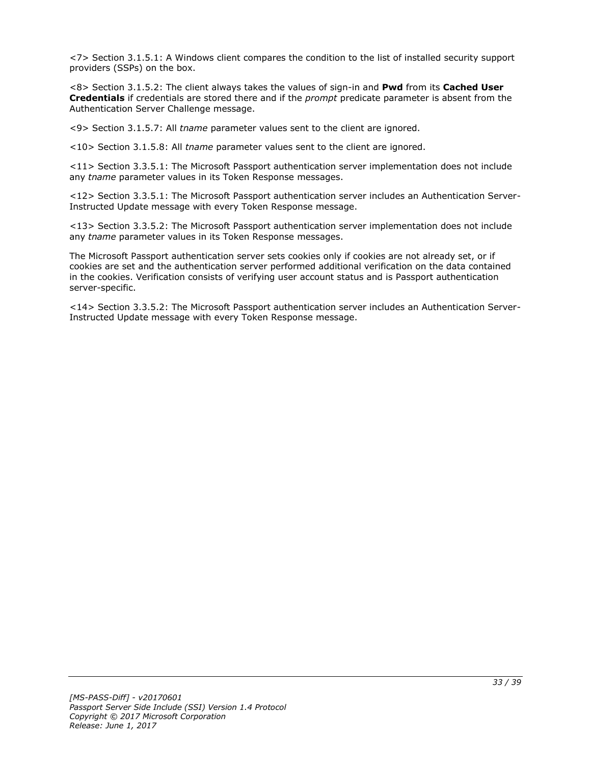<7> Section 3.1.5.1: A Windows client compares the condition to the list of installed security support providers (SSPs) on the box.

<8> Section 3.1.5.2: The client always takes the values of sign-in and **Pwd** from its **Cached User Credentials** if credentials are stored there and if the *prompt* predicate parameter is absent from the Authentication Server Challenge message.

<9> Section 3.1.5.7: All *tname* parameter values sent to the client are ignored.

<10> Section 3.1.5.8: All *tname* parameter values sent to the client are ignored.

<11> Section 3.3.5.1: The Microsoft Passport authentication server implementation does not include any *tname* parameter values in its Token Response messages.

<12> Section 3.3.5.1: The Microsoft Passport authentication server includes an Authentication Server-Instructed Update message with every Token Response message.

<13> Section 3.3.5.2: The Microsoft Passport authentication server implementation does not include any *tname* parameter values in its Token Response messages.

The Microsoft Passport authentication server sets cookies only if cookies are not already set, or if cookies are set and the authentication server performed additional verification on the data contained in the cookies. Verification consists of verifying user account status and is Passport authentication server-specific.

<14> Section 3.3.5.2: The Microsoft Passport authentication server includes an Authentication Server-Instructed Update message with every Token Response message.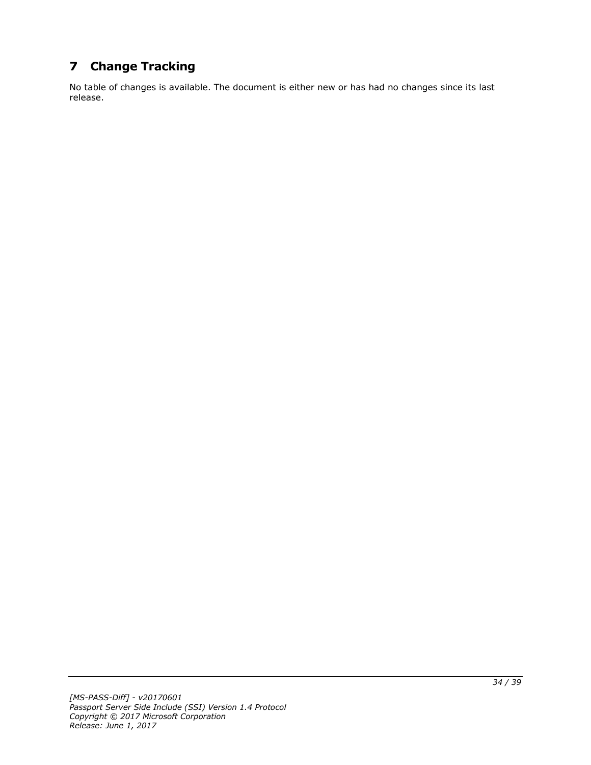## <span id="page-33-0"></span>**7 Change Tracking**

No table of changes is available. The document is either new or has had no changes since its last release.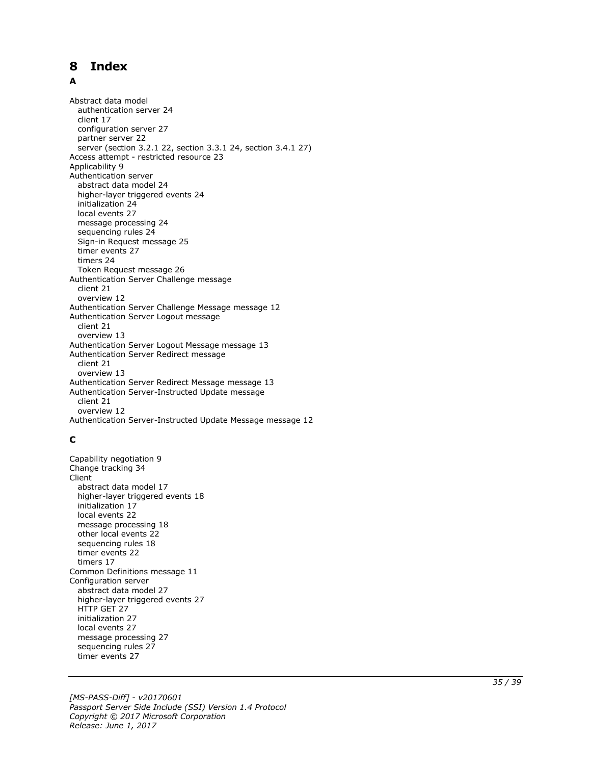#### <span id="page-34-0"></span>**Index** 8

#### A

**8 Index**<br> **A**<br>
Abstract data model<br>
authentication serve<br>
client 17<br>
configuration server 22<br>
server (section 3.2.1<br>
Access attempt - restr<br>
Authentication server abstract data model<br>
higher-layer triggere<br>
initializati Abstract data model authentication server 24 client 17 configuration server 27 partner server 22 server (section 3.2.1 22, section 3.3.1 24, section 3.4.1 27 ) Access attempt - restricted resource 23 Applicability 9 Authentication server abstract data model 24 higher -layer triggered events 24 initialization 24 local events 27 message processing 24 sequencing rules 24 Sign -in Request message 25 timer events 27 timers 24 Token Request message 26 Authentication Server Challenge message client 21 overview 12 Authentication Server Challenge Message message 12 Authentication Server Logout message client 21 overview 13 Authentication Server Logout Message message 13 Authentication Server Redirect message client 21 overview 13 Authentication Server Redirect Message message 13 Authentication Server -Instructed Update message client 21 overview 12 Authentication Server -Instructed Update Message message 12

### **C**

Capability negotiation 9 Change tracking 34 Client abstract data model 17 higher -layer triggered events 18 initialization 17 local events 22 message processing 18 other local events 22 sequencing rules 18 timer events 22 timers 17 Common Definitions message 11 Configuration server abstract data model 27 higher -layer triggered events 27 HTTP GET 27 initialization 27 local events 27 message processing 27 sequencing rules 27 timer events 27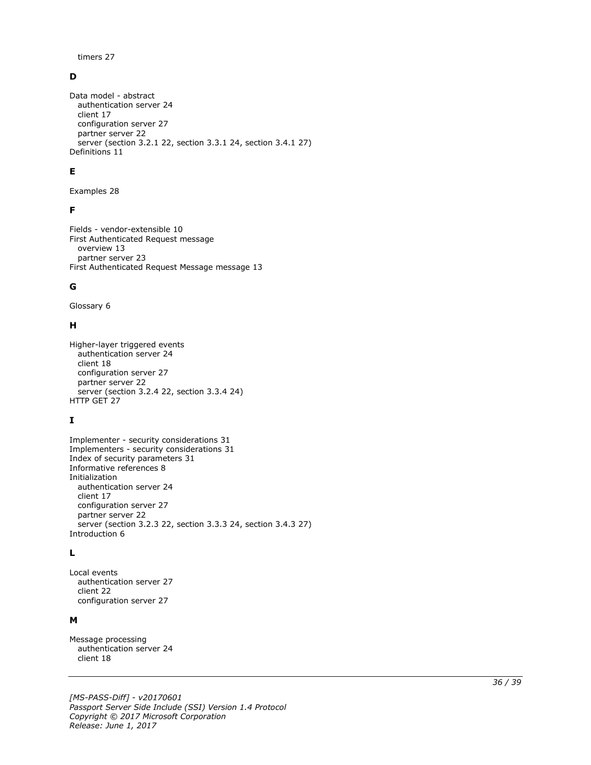timers 27

#### **D**

```
Data model - abstract
   authentication server 24
   client 17
   configuration server 27
  partner server 22
   server (section 3.2.1 22, section 3.3.1 24, section 3.4.1 27)
Definitions 11
```
#### **E**

Examples 28

#### **F**

Fields - vendor-extensible 10 First Authenticated Request message overview 13 partner server 23 First Authenticated Request Message message 13

### **G**

Glossary 6

#### **H**

Higher-layer triggered events authentication server 24 client 18 configuration server 27 partner server 22 server (section 3.2.4 22, section 3.3.4 24) HTTP GET 27

## **I**

```
Implementer - security considerations 31
Implementers - security considerations 31
Index of security parameters 31
Informative references 8
Initialization
   authentication server 24
   client 17
   configuration server 27
   partner server 22
   server (section 3.2.3 22, section 3.3.3 24, section 3.4.3 27)
Introduction 6
```
### **L**

Local events authentication server 27 client 22 configuration server 27

### **M**

Message processing authentication server 24 client 18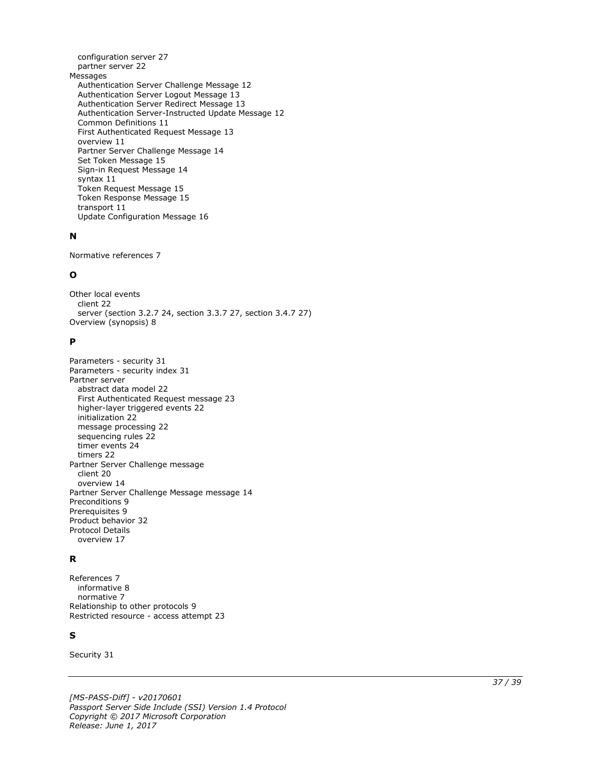configuration server 27 partner server 22 Messages Authentication Server Challenge Message 12 Authentication Server Logout Message 13 Authentication Server Redirect Message 13 Authentication Server -Instructed Update Message 12 Common Definitions 11 First Authenticated Request Message 13 overview 11 Partner Server Challenge Message 14 Set Token Message 15 Sign -in Request Message 14 syntax 11 Token Request Message 15 Token Response Message 15 transport 11 Update Configuration Message 16

#### **N**

Normative references 7

### **O**

Other local events client 22 server (section 3.2.7 24, section 3.3.7 27, section 3.4.7 27 ) Overview (synopsis) 8

#### **P**

Parameters - security 31 Parameters - security index 31 Partner serve r abstract data model 22 First Authenticated Request message 23 higher -layer triggered events 22 initialization 22 message processing 22 sequencing rules 22 timer events 24 timers 22 Partner Server Challenge message client 20 overview 14 Partner Server Challenge Message message 14 Preconditions 9 Prerequisites 9 Product behavior 32 Protocol Details overview 17

### **R**

References 7 informative 8 normative 7 Relationship to other protocols 9 Restricted resource - access attempt 23

### **S**

Security 31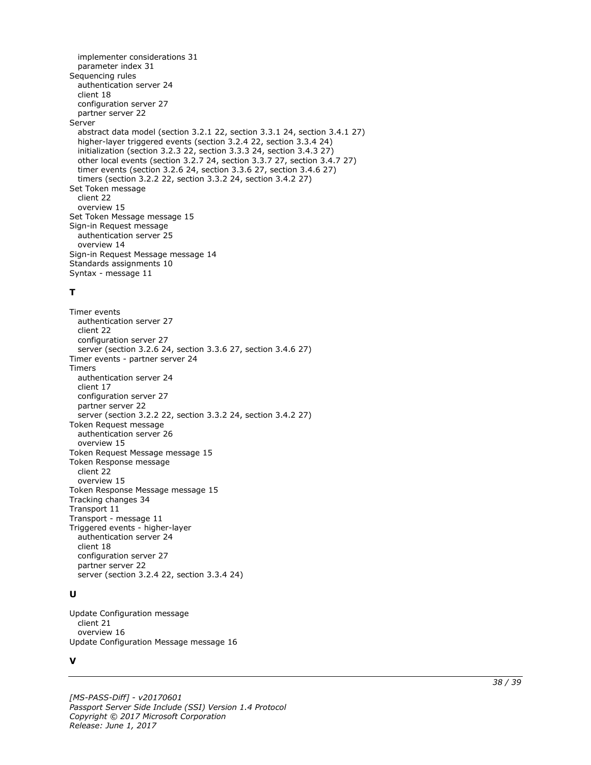implementer considerations 31 parameter index 31 Sequencing rules authentication server 24 client 18 configuration server 27 partner server 22 Server abstract data model (section 3.2.1 22, section 3.3.1 24, section 3.4.1 27) higher-layer triggered events (section 3.2.4 22, section 3.3.4 24) initialization (section 3.2.3 22, section 3.3.3 24, section 3.4.3 27) other local events (section 3.2.7 24, section 3.3.7 27, section 3.4.7 27) timer events (section 3.2.6 24, section 3.3.6 27, section 3.4.6 27) timers (section 3.2.2 22, section 3.3.2 24, section 3.4.2 27) Set Token message client 22 overview 15 Set Token Message message 15 Sign-in Request message authentication server 25 overview 14 Sign-in Request Message message 14 Standards assignments 10 Syntax - message 11

### **T**

Timer events authentication server 27 client 22 configuration server 27 server (section 3.2.6 24, section 3.3.6 27, section 3.4.6 27) Timer events - partner server 24 Timers authentication server 24 client 17 configuration server 27 partner server 22 server (section 3.2.2 22, section 3.3.2 24, section 3.4.2 27) Token Request message authentication server 26 overview 15 Token Request Message message 15 Token Response message client 22 overview 15 Token Response Message message 15 Tracking changes 34 Transport 11 Transport - message 11 Triggered events - higher-layer authentication server 24 client 18 configuration server 27 partner server 22 server (section 3.2.4 22, section 3.3.4 24)

### **U**

Update Configuration message client 21 overview 16 Update Configuration Message message 16

#### **V**